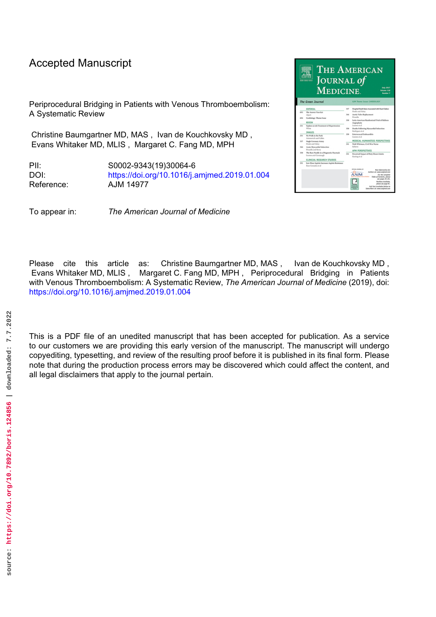# Accepted Manuscript

Periprocedural Bridging in Patients with Venous Thromboembolism: A Systematic Review

Christine Baumgartner MD, MAS , Ivan de Kouchkovsky MD , Evans Whitaker MD, MLIS , Margaret C. Fang MD, MPH

PII: S0002-9343(19)30064-6 DOI: <https://doi.org/10.1016/j.amjmed.2019.01.004> Reference: AJM 14977

To appear in: *The American Journal of Medicine*



Please cite this article as: Christine Baumgartner MD, MAS , Ivan de Kouchkovsky MD , Evans Whitaker MD, MLIS , Margaret C. Fang MD, MPH , Periprocedural Bridging in Patients with Venous Thromboembolism: A Systematic Review, *The American Journal of Medicine* (2019), doi: <https://doi.org/10.1016/j.amjmed.2019.01.004>

This is a PDF file of an unedited manuscript that has been accepted for publication. As a service to our customers we are providing this early version of the manuscript. The manuscript will undergo copyediting, typesetting, and review of the resulting proof before it is published in its final form. Please note that during the production process errors may be discovered which could affect the content, and all legal disclaimers that apply to the journal pertain.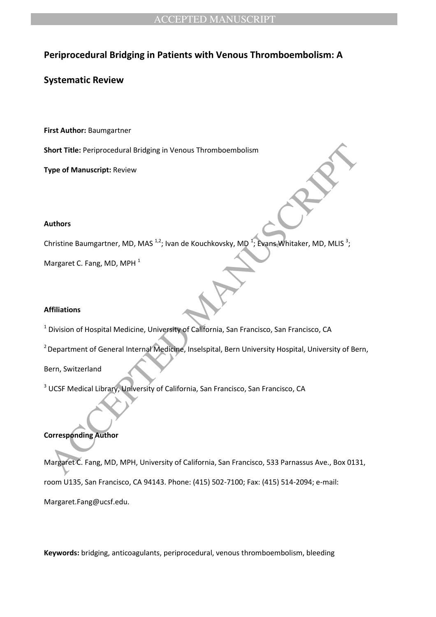# **Periprocedural Bridging in Patients with Venous Thromboembolism: A**

### **Systematic Review**

**First Author:** Baumgartner

**Short Title:** Periprocedural Bridging in Venous Thromboembolism

**Type of Manuscript:** Review

#### **Authors**

Christine Baumgartner, MD, MAS  $^{1,2}$ ; Ivan de Kouchkovsky, MD  $^{1}$ ; Evans Whitaker, MD, MLIS  $^{3}$ ;

Margaret C. Fang, MD, MPH<sup>1</sup>

### **Affiliations**

<sup>1</sup> Division of Hospital Medicine, University of California, San Francisco, San Francisco, CA

<sup>2</sup> Department of General Internal Medicine, Inselspital, Bern University Hospital, University of Bern,

Bern, Switzerland

<sup>3</sup> UCSF Medical Library, University of California, San Francisco, San Francisco, CA

### **Corresponding Author**

Where Title: Periprocedural Bridging in Venous Thromboembolism<br>Vpe of Manuscript: Review<br>When the Baumgartner, MD, MAS<sup>32</sup>; Ivan de Kouchkovsky, MD<sup>2</sup>; Evans, Whitaker, MD, MLIS<sup>3</sup>;<br>Aargaret C. Fang, MD, MPH<sup>1</sup><br>Affiliation Margaret C. Fang, MD, MPH, University of California, San Francisco, 533 Parnassus Ave., Box 0131, room U135, San Francisco, CA 94143. Phone: (415) 502-7100; Fax: (415) 514-2094; e-mail: Margaret.Fang@ucsf.edu.

**Keywords:** bridging, anticoagulants, periprocedural, venous thromboembolism, bleeding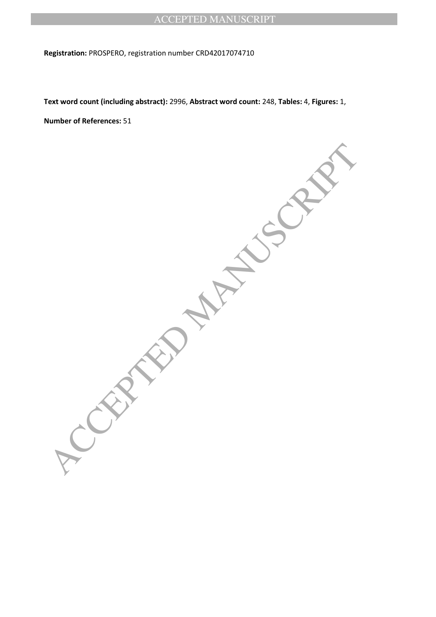**Registration:** PROSPERO, registration number CRD42017074710

**Text word count (including abstract):** 2996, **Abstract word count:** 248, **Tables:** 4, **Figures:** 1,

**Number of References:** 51

**ACCEPTED MANUSCRIPT**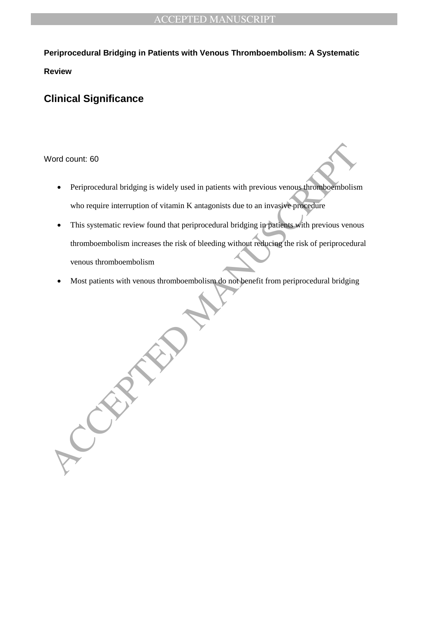**Periprocedural Bridging in Patients with Venous Thromboembolism: A Systematic** 

**Review**

# **Clinical Significance**

### Word count: 60

- Periprocedural bridging is widely used in patients with previous venous thromboembolism who require interruption of vitamin K antagonists due to an invasive procedure
- Vord count: 60<br>
 Periprocedural bridging is widely used in patients with previous venous thrombogenholism<br>
who require interruption of vitamin K antagonists due to an invasive procedure<br>
 This systematic review found tha This systematic review found that periprocedural bridging in patients with previous venous thromboembolism increases the risk of bleeding without reducing the risk of periprocedural venous thromboembolism
	- Most patients with venous thromboembolism do not benefit from periprocedural bridging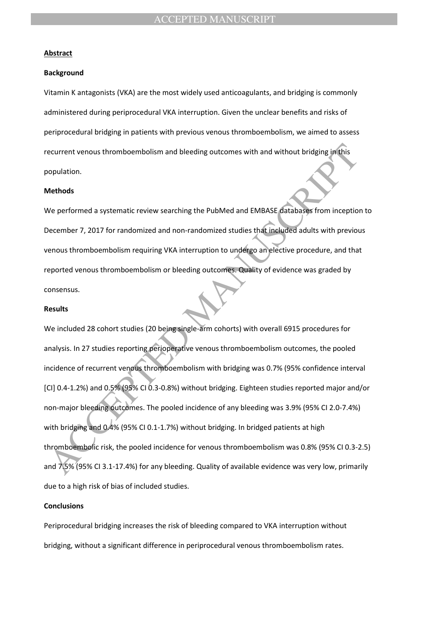#### **Abstract**

#### **Background**

Vitamin K antagonists (VKA) are the most widely used anticoagulants, and bridging is commonly administered during periprocedural VKA interruption. Given the unclear benefits and risks of periprocedural bridging in patients with previous venous thromboembolism, we aimed to assess recurrent venous thromboembolism and bleeding outcomes with and without bridging in this population.

#### **Methods**

We performed a systematic review searching the PubMed and EMBASE databases from inception to December 7, 2017 for randomized and non-randomized studies that included adults with previous venous thromboembolism requiring VKA interruption to undergo an elective procedure, and that reported venous thromboembolism or bleeding outcomes. Quality of evidence was graded by consensus.

#### **Results**

ecurrent venous thromboembolism and bleeding outcomes with and without bridging in this<br>opulation.<br>Acthods<br>We performed a systematic review searching the PubMed and EMBASE databases from inception<br>ecember 7, 2017 for rando We included 28 cohort studies (20 being single-arm cohorts) with overall 6915 procedures for analysis. In 27 studies reporting perioperative venous thromboembolism outcomes, the pooled incidence of recurrent venous thromboembolism with bridging was 0.7% (95% confidence interval [CI] 0.4-1.2%) and 0.5% (95% CI 0.3-0.8%) without bridging. Eighteen studies reported major and/or non-major bleeding outcomes. The pooled incidence of any bleeding was 3.9% (95% CI 2.0-7.4%) with bridging and 0.4% (95% CI 0.1-1.7%) without bridging. In bridged patients at high thromboembolic risk, the pooled incidence for venous thromboembolism was 0.8% (95% CI 0.3-2.5) and 7.5% (95% CI 3.1-17.4%) for any bleeding. Quality of available evidence was very low, primarily due to a high risk of bias of included studies.

#### **Conclusions**

Periprocedural bridging increases the risk of bleeding compared to VKA interruption without bridging, without a significant difference in periprocedural venous thromboembolism rates.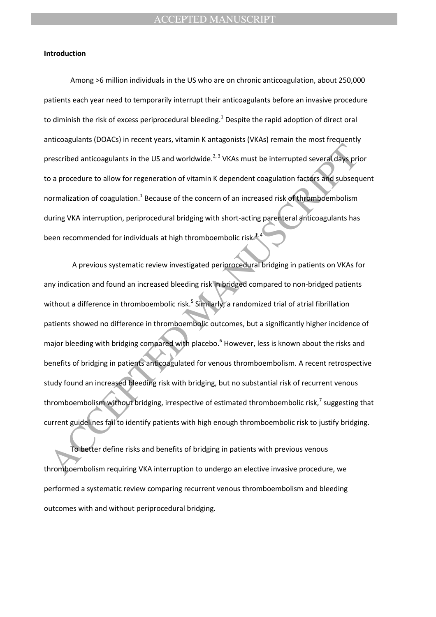#### **Introduction**

Among >6 million individuals in the US who are on chronic anticoagulation, about 250,000 patients each year need to temporarily interrupt their anticoagulants before an invasive procedure to diminish the risk of excess periprocedural bleeding.<sup>1</sup> Despite the rapid adoption of direct oral anticoagulants (DOACs) in recent years, vitamin K antagonists (VKAs) remain the most frequently prescribed anticoagulants in the US and worldwide.<sup>2, 3</sup> VKAs must be interrupted several days prior to a procedure to allow for regeneration of vitamin K dependent coagulation factors and subsequent normalization of coagulation.<sup>1</sup> Because of the concern of an increased risk of thromboembolism during VKA interruption, periprocedural bridging with short-acting parenteral anticoagulants has been recommended for individuals at high thromboembolic risk

rescribed anticoagulants in the US and worldwide.<sup>2,1</sup> VKAs must be interrupted several days priorition a procedure to allow for regeneration of vitamin K dependent coagulation factors and subsequalization of coagulation.<sup></sup> A previous systematic review investigated periprocedural bridging in patients on VKAs for any indication and found an increased bleeding risk in bridged compared to non-bridged patients without a difference in thromboembolic risk.<sup>5</sup> Similarly, a randomized trial of atrial fibrillation patients showed no difference in thromboembolic outcomes, but a significantly higher incidence of major bleeding with bridging compared with placebo.<sup>6</sup> However, less is known about the risks and benefits of bridging in patients anticoagulated for venous thromboembolism. A recent retrospective study found an increased bleeding risk with bridging, but no substantial risk of recurrent venous thromboembolism without bridging, irrespective of estimated thromboembolic risk,<sup>7</sup> suggesting that current guidelines fail to identify patients with high enough thromboembolic risk to justify bridging.

To better define risks and benefits of bridging in patients with previous venous thromboembolism requiring VKA interruption to undergo an elective invasive procedure, we performed a systematic review comparing recurrent venous thromboembolism and bleeding outcomes with and without periprocedural bridging.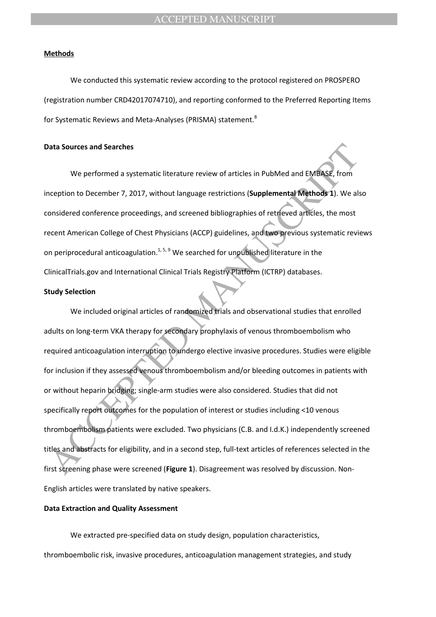#### **Methods**

We conducted this systematic review according to the protocol registered on PROSPERO (registration number CRD42017074710), and reporting conformed to the Preferred Reporting Items for Systematic Reviews and Meta-Analyses (PRISMA) statement.<sup>8</sup>

#### **Data Sources and Searches**

We performed a systematic literature review of articles in PubMed and EMBASE, from inception to December 7, 2017, without language restrictions (**Supplemental Methods 1**). We also considered conference proceedings, and screened bibliographies of retrieved articles, the most recent American College of Chest Physicians (ACCP) guidelines, and two previous systematic reviews on periprocedural anticoagulation.<sup>1, 5, 9</sup> We searched for unpublished literature in the ClinicalTrials.gov and International Clinical Trials Registry Platform (ICTRP) databases.

#### **Study Selection**

and Searches<br>
We performed a systematic literature review of articles in PubMed and EMBASE, from<br>
meeption to December 7, 2017, without language restrictions (Supplemental Methods 1). We all<br>
onsidered conference proceedin We included original articles of randomized trials and observational studies that enrolled adults on long-term VKA therapy for secondary prophylaxis of venous thromboembolism who required anticoagulation interruption to undergo elective invasive procedures. Studies were eligible for inclusion if they assessed venous thromboembolism and/or bleeding outcomes in patients with or without heparin bridging; single-arm studies were also considered. Studies that did not specifically report outcomes for the population of interest or studies including <10 venous thromboembolism patients were excluded. Two physicians (C.B. and I.d.K.) independently screened titles and abstracts for eligibility, and in a second step, full-text articles of references selected in the first screening phase were screened (**Figure 1**). Disagreement was resolved by discussion. Non-English articles were translated by native speakers.

#### **Data Extraction and Quality Assessment**

We extracted pre-specified data on study design, population characteristics, thromboembolic risk, invasive procedures, anticoagulation management strategies, and study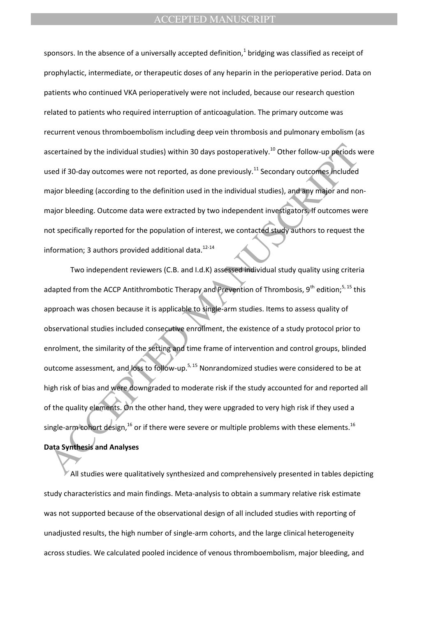sponsors. In the absence of a universally accepted definition,<sup>1</sup> bridging was classified as receipt of prophylactic, intermediate, or therapeutic doses of any heparin in the perioperative period. Data on patients who continued VKA perioperatively were not included, because our research question related to patients who required interruption of anticoagulation. The primary outcome was recurrent venous thromboembolism including deep vein thrombosis and pulmonary embolism (as ascertained by the individual studies) within 30 days postoperatively.<sup>10</sup> Other follow-up periods were used if 30-day outcomes were not reported, as done previously.<sup>11</sup> Secondary outcomes included major bleeding (according to the definition used in the individual studies), and any major and nonmajor bleeding. Outcome data were extracted by two independent investigators. If outcomes were not specifically reported for the population of interest, we contacted study authors to request the information; 3 authors provided additional data. $12-14$ 

scertained by the individual studies) within 30 days postoperatively.<sup>10</sup> Other follow-up periods vesel if 30-day outcomes were not reported, as done previously.<sup>11</sup> Secondary outcomes included<br>hajor bleeding (according to Two independent reviewers (C.B. and I.d.K) assessed individual study quality using criteria adapted from the ACCP Antithrombotic Therapy and Prevention of Thrombosis,  $9^{th}$  edition;<sup>5, 15</sup> this approach was chosen because it is applicable to single-arm studies. Items to assess quality of observational studies included consecutive enrollment, the existence of a study protocol prior to enrolment, the similarity of the setting and time frame of intervention and control groups, blinded outcome assessment, and loss to follow-up.<sup>5, 15</sup> Nonrandomized studies were considered to be at high risk of bias and were downgraded to moderate risk if the study accounted for and reported all of the quality elements. On the other hand, they were upgraded to very high risk if they used a single-arm cohort design, $^{16}$  or if there were severe or multiple problems with these elements. $^{16}$ **Data Synthesis and Analyses**

All studies were qualitatively synthesized and comprehensively presented in tables depicting study characteristics and main findings. Meta-analysis to obtain a summary relative risk estimate was not supported because of the observational design of all included studies with reporting of unadjusted results, the high number of single-arm cohorts, and the large clinical heterogeneity across studies. We calculated pooled incidence of venous thromboembolism, major bleeding, and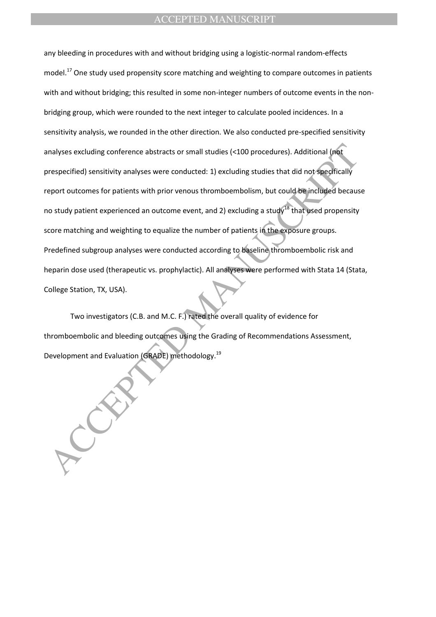malyses excluding conference abstracts or small studies (<100 procedures). Additional (not<br>expectified) sensitivity analyses were conducted: 1) excluding studies that did not specifically<br>eport outcomes for patients with p any bleeding in procedures with and without bridging using a logistic-normal random-effects model.<sup>17</sup> One study used propensity score matching and weighting to compare outcomes in patients with and without bridging; this resulted in some non-integer numbers of outcome events in the nonbridging group, which were rounded to the next integer to calculate pooled incidences. In a sensitivity analysis, we rounded in the other direction. We also conducted pre-specified sensitivity analyses excluding conference abstracts or small studies (<100 procedures). Additional (not prespecified) sensitivity analyses were conducted: 1) excluding studies that did not specifically report outcomes for patients with prior venous thromboembolism, but could be included because no study patient experienced an outcome event, and 2) excluding a study<sup>18</sup> that used propensity score matching and weighting to equalize the number of patients in the exposure groups. Predefined subgroup analyses were conducted according to baseline thromboembolic risk and heparin dose used (therapeutic vs. prophylactic). All analyses were performed with Stata 14 (Stata, College Station, TX, USA).

Two investigators (C.B. and M.C. F.) rated the overall quality of evidence for thromboembolic and bleeding outcomes using the Grading of Recommendations Assessment, Development and Evaluation (GRADE) methodology.<sup>19</sup>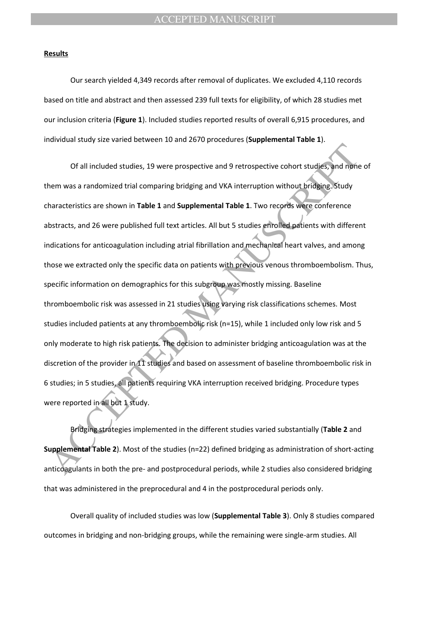#### **Results**

Our search yielded 4,349 records after removal of duplicates. We excluded 4,110 records based on title and abstract and then assessed 239 full texts for eligibility, of which 28 studies met our inclusion criteria (**Figure 1**). Included studies reported results of overall 6,915 procedures, and individual study size varied between 10 and 2670 procedures (**Supplemental Table 1**).

Of all included studies, 19 were prospective and 9 retrospective cohort studies, and moneter and moneter and moneter and the previous and moneter and moneter and studies and moneter and studies are shown in Table 1 and Sup Of all included studies, 19 were prospective and 9 retrospective cohort studies, and none of them was a randomized trial comparing bridging and VKA interruption without bridging. Study characteristics are shown in **Table 1** and **Supplemental Table 1**. Two records were conference abstracts, and 26 were published full text articles. All but 5 studies enrolled patients with different indications for anticoagulation including atrial fibrillation and mechanical heart valves, and among those we extracted only the specific data on patients with previous venous thromboembolism. Thus, specific information on demographics for this subgroup was mostly missing. Baseline thromboembolic risk was assessed in 21 studies using varying risk classifications schemes. Most studies included patients at any thromboembolic risk (n=15), while 1 included only low risk and 5 only moderate to high risk patients. The decision to administer bridging anticoagulation was at the discretion of the provider in 11 studies and based on assessment of baseline thromboembolic risk in 6 studies; in 5 studies, all patients requiring VKA interruption received bridging. Procedure types were reported in all but 1 study.

Bridging strategies implemented in the different studies varied substantially (**Table 2** and **Supplemental Table 2**). Most of the studies (n=22) defined bridging as administration of short-acting anticoagulants in both the pre- and postprocedural periods, while 2 studies also considered bridging that was administered in the preprocedural and 4 in the postprocedural periods only.

Overall quality of included studies was low (**Supplemental Table 3**). Only 8 studies compared outcomes in bridging and non-bridging groups, while the remaining were single-arm studies. All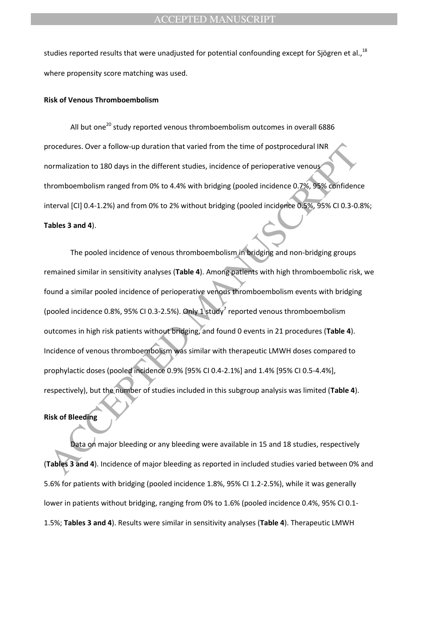studies reported results that were unadjusted for potential confounding except for Sjögren et al.,  $^{18}$ where propensity score matching was used.

#### **Risk of Venous Thromboembolism**

All but one<sup>20</sup> study reported venous thromboembolism outcomes in overall 6886 procedures. Over a follow-up duration that varied from the time of postprocedural INR normalization to 180 days in the different studies, incidence of perioperative venous thromboembolism ranged from 0% to 4.4% with bridging (pooled incidence 0.7%, 95% confidence interval [CI] 0.4-1.2%) and from 0% to 2% without bridging (pooled incidence 0.5%, 95% CI 0.3-0.8%; **Tables 3 and 4**).

rocedures. Over a follow-up duration that varied from the time of postprocedural INR<br>
normalization to 180 days in the different studies, incidence of perioperative venous<br>
hromboembolism ranged from 0% to 4.4% with bridgi The pooled incidence of venous thromboembolism in bridging and non-bridging groups remained similar in sensitivity analyses (**Table 4**). Among patients with high thromboembolic risk, we found a similar pooled incidence of perioperative venous thromboembolism events with bridging (pooled incidence 0.8%, 95% CI 0.3-2.5%). Only 1 study<sup>7</sup> reported venous thromboembolism outcomes in high risk patients without bridging, and found 0 events in 21 procedures (**Table 4**). Incidence of venous thromboembolism was similar with therapeutic LMWH doses compared to prophylactic doses (pooled incidence 0.9% [95% CI 0.4-2.1%] and 1.4% [95% CI 0.5-4.4%], respectively), but the number of studies included in this subgroup analysis was limited (**Table 4**).

#### **Risk of Bleeding**

Data on major bleeding or any bleeding were available in 15 and 18 studies, respectively (**Tables 3 and 4**). Incidence of major bleeding as reported in included studies varied between 0% and 5.6% for patients with bridging (pooled incidence 1.8%, 95% CI 1.2-2.5%), while it was generally lower in patients without bridging, ranging from 0% to 1.6% (pooled incidence 0.4%, 95% CI 0.1- 1.5%; **Tables 3 and 4**). Results were similar in sensitivity analyses (**Table 4**). Therapeutic LMWH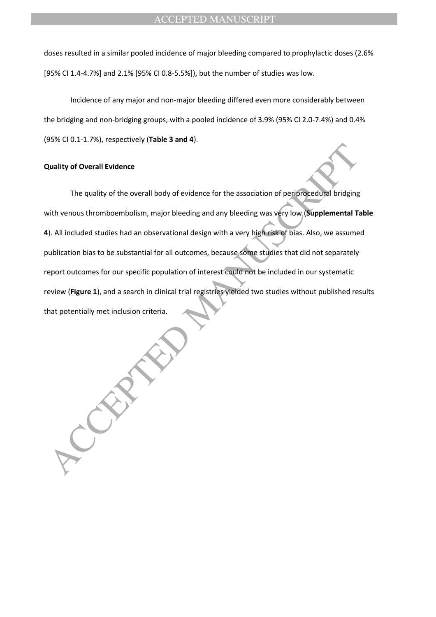doses resulted in a similar pooled incidence of major bleeding compared to prophylactic doses (2.6% [95% CI 1.4-4.7%] and 2.1% [95% CI 0.8-5.5%]), but the number of studies was low.

Incidence of any major and non-major bleeding differed even more considerably between the bridging and non-bridging groups, with a pooled incidence of 3.9% (95% CI 2.0-7.4%) and 0.4% (95% CI 0.1-1.7%), respectively (**Table 3 and 4**).

#### **Quality of Overall Evidence**

Quality of Overall Evidence<br>
The quality of the overall body of evidence for the association of periprocedural bridging<br>
with venous thromboembolism, major bleeding and any bleeding was very low, **Supplemental** Ta<br>
J. All The quality of the overall body of evidence for the association of periprocedural bridging with venous thromboembolism, major bleeding and any bleeding was very low (**Supplemental Table 4**). All included studies had an observational design with a very high risk of bias. Also, we assumed publication bias to be substantial for all outcomes, because some studies that did not separately report outcomes for our specific population of interest could not be included in our systematic review (**Figure 1**), and a search in clinical trial registries yielded two studies without published results that potentially met inclusion criteria.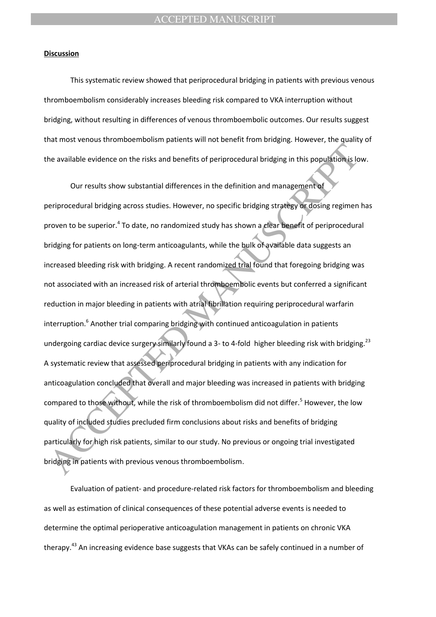#### **Discussion**

This systematic review showed that periprocedural bridging in patients with previous venous thromboembolism considerably increases bleeding risk compared to VKA interruption without bridging, without resulting in differences of venous thromboembolic outcomes. Our results suggest that most venous thromboembolism patients will not benefit from bridging. However, the quality of the available evidence on the risks and benefits of periprocedural bridging in this population is low.

The available evidence on the risks and benefits of periprocedural bridging in this population is lo<br>
Our results show substantial differences in the definition and management of<br>
Periprocedural bridging across studies. Ho Our results show substantial differences in the definition and management of periprocedural bridging across studies. However, no specific bridging strategy or dosing regimen has proven to be superior.<sup>4</sup> To date, no randomized study has shown a clear benefit of periprocedural bridging for patients on long-term anticoagulants, while the bulk of available data suggests an increased bleeding risk with bridging. A recent randomized trial found that foregoing bridging was not associated with an increased risk of arterial thromboembolic events but conferred a significant reduction in major bleeding in patients with atrial fibrillation requiring periprocedural warfarin interruption.<sup>6</sup> Another trial comparing bridging with continued anticoagulation in patients undergoing cardiac device surgery similarly found a 3- to 4-fold higher bleeding risk with bridging.<sup>23</sup> A systematic review that assessed periprocedural bridging in patients with any indication for anticoagulation concluded that overall and major bleeding was increased in patients with bridging compared to those without, while the risk of thromboembolism did not differ.<sup>5</sup> However, the low quality of included studies precluded firm conclusions about risks and benefits of bridging particularly for high risk patients, similar to our study. No previous or ongoing trial investigated bridging in patients with previous venous thromboembolism.

Evaluation of patient- and procedure-related risk factors for thromboembolism and bleeding as well as estimation of clinical consequences of these potential adverse events is needed to determine the optimal perioperative anticoagulation management in patients on chronic VKA therapy.<sup>43</sup> An increasing evidence base suggests that VKAs can be safely continued in a number of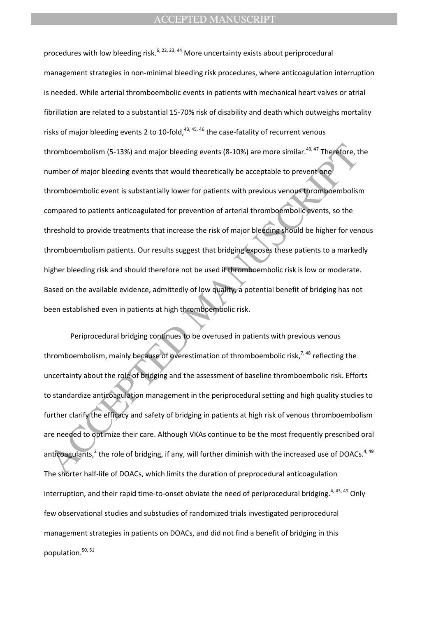hromboembolism (5-13%) and major bleeding events (8-10%) are more similar.<sup>02,47</sup> Therefore, t<br>umber of major bleeding events that would theoretically be acceptable to prevent one<br>hromboembolic event is substantially lower procedures with low bleeding risk.<sup>6, 22, 23, 44</sup> More uncertainty exists about periprocedural management strategies in non-minimal bleeding risk procedures, where anticoagulation interruption is needed. While arterial thromboembolic events in patients with mechanical heart valves or atrial fibrillation are related to a substantial 15-70% risk of disability and death which outweighs mortality risks of major bleeding events 2 to 10-fold,  $43, 45, 46$  the case-fatality of recurrent venous thromboembolism (5-13%) and major bleeding events (8-10%) are more similar.<sup>43, 47</sup> Therefore, the number of major bleeding events that would theoretically be acceptable to prevent one thromboembolic event is substantially lower for patients with previous venous thromboembolism compared to patients anticoagulated for prevention of arterial thromboembolic events, so the threshold to provide treatments that increase the risk of major bleeding should be higher for venous thromboembolism patients. Our results suggest that bridging exposes these patients to a markedly higher bleeding risk and should therefore not be used if thromboembolic risk is low or moderate. Based on the available evidence, admittedly of low quality, a potential benefit of bridging has not been established even in patients at high thromboembolic risk.

Periprocedural bridging continues to be overused in patients with previous venous thromboembolism, mainly because of overestimation of thromboembolic risk,<sup>7,48</sup> reflecting the uncertainty about the role of bridging and the assessment of baseline thromboembolic risk. Efforts to standardize anticoagulation management in the periprocedural setting and high quality studies to further clarify the efficacy and safety of bridging in patients at high risk of venous thromboembolism are needed to optimize their care. Although VKAs continue to be the most frequently prescribed oral anticoagulants,<sup>2</sup> the role of bridging, if any, will further diminish with the increased use of DOACs.<sup>4, 49</sup> The shorter half-life of DOACs, which limits the duration of preprocedural anticoagulation interruption, and their rapid time-to-onset obviate the need of periprocedural bridging.<sup>4, 43, 49</sup> Only few observational studies and substudies of randomized trials investigated periprocedural management strategies in patients on DOACs, and did not find a benefit of bridging in this population.<sup>50, 51</sup>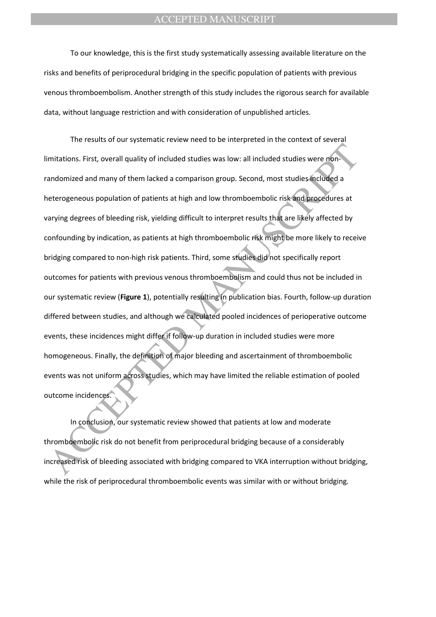To our knowledge, this is the first study systematically assessing available literature on the risks and benefits of periprocedural bridging in the specific population of patients with previous venous thromboembolism. Another strength of this study includes the rigorous search for available data, without language restriction and with consideration of unpublished articles.

imitations. First, overall quality of included studies was low: all included studies were non-<br>andomized and many of them lacked a comparison group. Second, most studies included a<br>aeterogeneous population of patients at h The results of our systematic review need to be interpreted in the context of several limitations. First, overall quality of included studies was low: all included studies were nonrandomized and many of them lacked a comparison group. Second, most studies included a heterogeneous population of patients at high and low thromboembolic risk and procedures at varying degrees of bleeding risk, yielding difficult to interpret results that are likely affected by confounding by indication, as patients at high thromboembolic risk might be more likely to receive bridging compared to non-high risk patients. Third, some studies did not specifically report outcomes for patients with previous venous thromboembolism and could thus not be included in our systematic review (**Figure 1**), potentially resulting in publication bias. Fourth, follow-up duration differed between studies, and although we calculated pooled incidences of perioperative outcome events, these incidences might differ if follow-up duration in included studies were more homogeneous. Finally, the definition of major bleeding and ascertainment of thromboembolic events was not uniform across studies, which may have limited the reliable estimation of pooled outcome incidences.

In conclusion, our systematic review showed that patients at low and moderate thromboembolic risk do not benefit from periprocedural bridging because of a considerably increased risk of bleeding associated with bridging compared to VKA interruption without bridging, while the risk of periprocedural thromboembolic events was similar with or without bridging.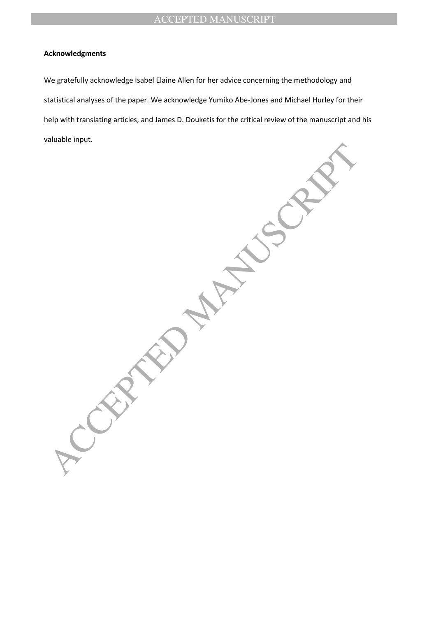### **Acknowledgments**

We gratefully acknowledge Isabel Elaine Allen for her advice concerning the methodology and statistical analyses of the paper. We acknowledge Yumiko Abe-Jones and Michael Hurley for their help with translating articles, and James D. Douketis for the critical review of the manuscript and his valuable input.

ACCEPTED MANUSCRIPT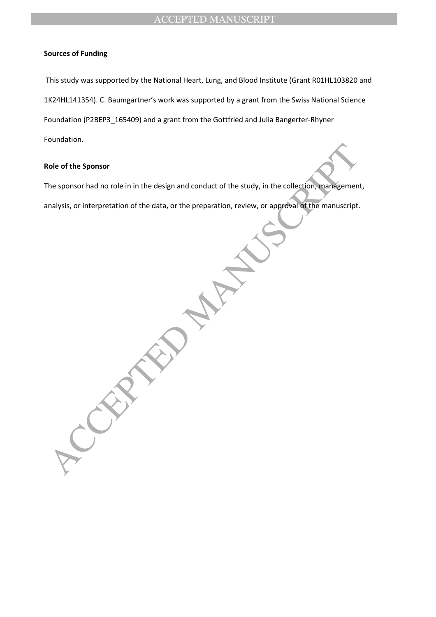### **Sources of Funding**

This study was supported by the National Heart, Lung, and Blood Institute (Grant R01HL103820 and 1K24HL141354). C. Baumgartner's work was supported by a grant from the Swiss National Science Foundation (P2BEP3\_165409) and a grant from the Gottfried and Julia Bangerter-Rhyner Foundation.

#### **Role of the Sponsor**

The sponsor had no role in in the design and conduct of the study, in the collection, management, analysis, or interpretation of the data, or the preparation, review, or approval of the manuscript.

tole of the Sponsor<br>
the sponsor had no role in in the design and conduct of the study, in the collection, management<br>
malysis, or interpretation of the data, or the preparation, review, or approval of the manuscript.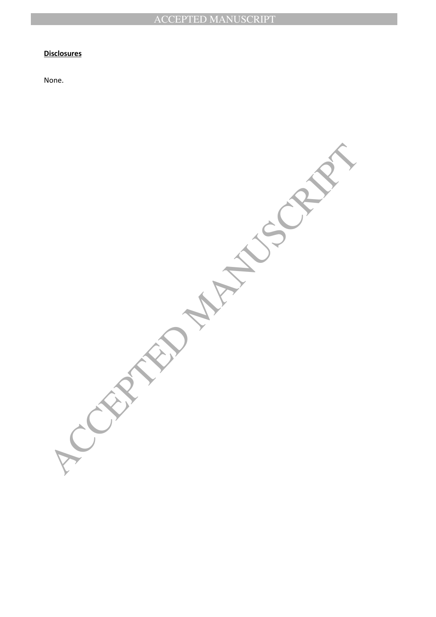#### **Disclosures**

None.

**ACCEPTED MANUSCRIPT**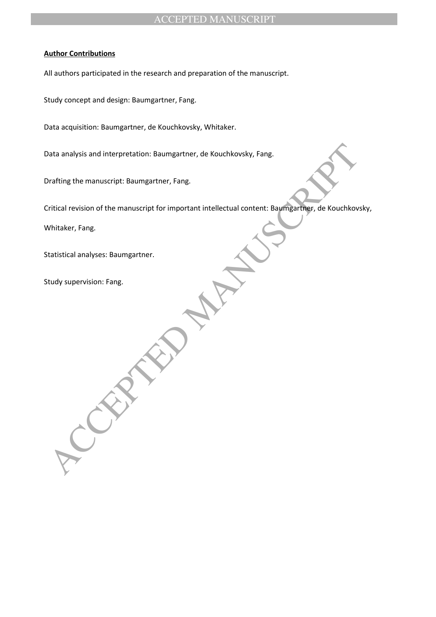#### **Author Contributions**

All authors participated in the research and preparation of the manuscript.

Study concept and design: Baumgartner, Fang.

Data acquisition: Baumgartner, de Kouchkovsky, Whitaker.

Data analysis and interpretation: Baumgartner, de Kouchkovsky, Fang.

Drafting the manuscript: Baumgartner, Fang.

Data analysis and interpretation: Baumgartner, de Kouchkovsky, Fang.<br>
Accepting the manuscript: Baumgartner, Fang.<br>
Activitater, Fang.<br>
Activitater, Fang.<br>
Activitater, Fang.<br>
Activitater, Fang.<br>
Activitater, Fang.<br>
Activi Critical revision of the manuscript for important intellectual content: Baumgartner, de Kouchkovsky,

Whitaker, Fang.

Statistical analyses: Baumgartner.

Study supervision: Fang.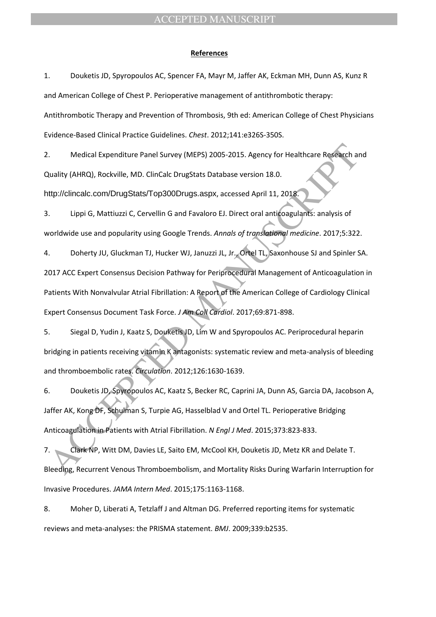#### **References**

1. Douketis JD, Spyropoulos AC, Spencer FA, Mayr M, Jaffer AK, Eckman MH, Dunn AS, Kunz R and American College of Chest P. Perioperative management of antithrombotic therapy: Antithrombotic Therapy and Prevention of Thrombosis, 9th ed: American College of Chest Physicians Evidence-Based Clinical Practice Guidelines. *Chest*. 2012;141:e326S-350S.

2. Medical Expenditure Panel Survey (MEPS) 2005-2015. Agency for Healthcare Research and Quality (AHRQ), Rockville, MD. ClinCalc DrugStats Database version 18.0.

http://clincalc.com/DrugStats/Top300Drugs.aspx, accessed April 11, 2018.

3. Lippi G, Mattiuzzi C, Cervellin G and Favaloro EJ. Direct oral anticoagulants: analysis of worldwide use and popularity using Google Trends. *Annals of translational medicine*. 2017;5:322.

Medical Expenditure Panel Survey (MEPS) 2005-2015. Agency for Healthcare Research at<br>
2011 Ety (AHRQ), Rockville, MD. Clincalc DrugStats Database version 18.0.<br>
1. Lippi G, Mattiuzzi C, Cervellin G and Favaloro El. Direct 4. Doherty JU, Gluckman TJ, Hucker WJ, Januzzi JL, Jr., Ortel TL, Saxonhouse SJ and Spinler SA. 2017 ACC Expert Consensus Decision Pathway for Periprocedural Management of Anticoagulation in Patients With Nonvalvular Atrial Fibrillation: A Report of the American College of Cardiology Clinical Expert Consensus Document Task Force. *J Am Coll Cardiol*. 2017;69:871-898.

5. Siegal D, Yudin J, Kaatz S, Douketis JD, Lim W and Spyropoulos AC. Periprocedural heparin bridging in patients receiving vitamin K antagonists: systematic review and meta-analysis of bleeding and thromboembolic rates. *Circulation*. 2012;126:1630-1639.

6. Douketis JD, Spyropoulos AC, Kaatz S, Becker RC, Caprini JA, Dunn AS, Garcia DA, Jacobson A, Jaffer AK, Kong DF, Schulman S, Turpie AG, Hasselblad V and Ortel TL. Perioperative Bridging Anticoagulation in Patients with Atrial Fibrillation. *N Engl J Med*. 2015;373:823-833.

7. Clark NP, Witt DM, Davies LE, Saito EM, McCool KH, Douketis JD, Metz KR and Delate T. Bleeding, Recurrent Venous Thromboembolism, and Mortality Risks During Warfarin Interruption for Invasive Procedures. *JAMA Intern Med*. 2015;175:1163-1168.

8. Moher D, Liberati A, Tetzlaff J and Altman DG. Preferred reporting items for systematic reviews and meta-analyses: the PRISMA statement. *BMJ*. 2009;339:b2535.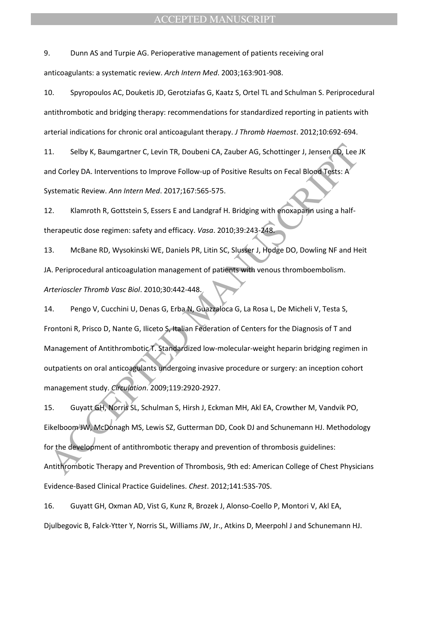9. Dunn AS and Turpie AG. Perioperative management of patients receiving oral anticoagulants: a systematic review. *Arch Intern Med*. 2003;163:901-908.

10. Spyropoulos AC, Douketis JD, Gerotziafas G, Kaatz S, Ortel TL and Schulman S. Periprocedural antithrombotic and bridging therapy: recommendations for standardized reporting in patients with arterial indications for chronic oral anticoagulant therapy. *J Thromb Haemost*. 2012;10:692-694.

11. Selby K, Baumgartner C, Levin TR, Doubeni CA, Zauber AG, Schottinger J, Jensen CD, Lee JK and Corley DA. Interventions to Improve Follow-up of Positive Results on Fecal Blood Tests: A Systematic Review. *Ann Intern Med*. 2017;167:565-575.

12. Klamroth R, Gottstein S, Essers E and Landgraf H. Bridging with enoxaparin using a halftherapeutic dose regimen: safety and efficacy. *Vasa*. 2010;39:243-248.

13. McBane RD, Wysokinski WE, Daniels PR, Litin SC, Slusser J, Hodge DO, Dowling NF and Heit JA. Periprocedural anticoagulation management of patients with venous thromboembolism. *Arterioscler Thromb Vasc Biol*. 2010;30:442-448.

Selby K, Baumgartner C, Levin TR, Doubeni CA, Zauber AG, Schottinger J, Jensen CD, Lee 3.<br>
And Corley DA. Interventions to Improve Follow-up of Positive Results on Fecal Blood Tests: A<br>
systematic Review. Ann Intern Med. 2 14. Pengo V, Cucchini U, Denas G, Erba N, Guazzaloca G, La Rosa L, De Micheli V, Testa S, Frontoni R, Prisco D, Nante G, Iliceto S, Italian Federation of Centers for the Diagnosis of T and Management of Antithrombotic T. Standardized low-molecular-weight heparin bridging regimen in outpatients on oral anticoagulants undergoing invasive procedure or surgery: an inception cohort management study. *Circulation*. 2009;119:2920-2927.

15. Guyatt GH, Norris SL, Schulman S, Hirsh J, Eckman MH, Akl EA, Crowther M, Vandvik PO, Eikelboom JW, McDonagh MS, Lewis SZ, Gutterman DD, Cook DJ and Schunemann HJ. Methodology for the development of antithrombotic therapy and prevention of thrombosis guidelines: Antithrombotic Therapy and Prevention of Thrombosis, 9th ed: American College of Chest Physicians Evidence-Based Clinical Practice Guidelines. *Chest*. 2012;141:53S-70S.

16. Guyatt GH, Oxman AD, Vist G, Kunz R, Brozek J, Alonso-Coello P, Montori V, Akl EA, Djulbegovic B, Falck-Ytter Y, Norris SL, Williams JW, Jr., Atkins D, Meerpohl J and Schunemann HJ.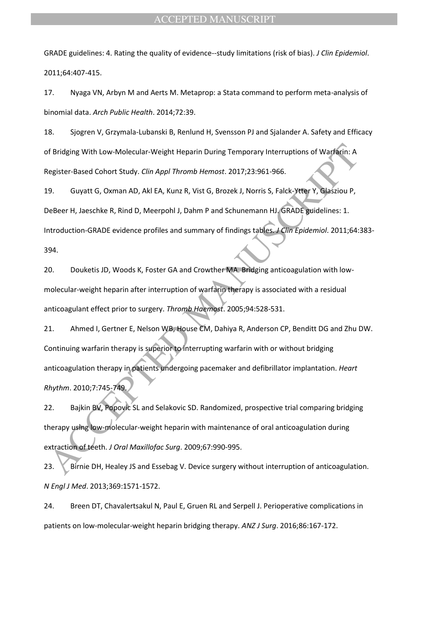GRADE guidelines: 4. Rating the quality of evidence--study limitations (risk of bias). *J Clin Epidemiol*. 2011;64:407-415.

17. Nyaga VN, Arbyn M and Aerts M. Metaprop: a Stata command to perform meta-analysis of binomial data. *Arch Public Health*. 2014;72:39.

18. Sjogren V, Grzymala-Lubanski B, Renlund H, Svensson PJ and Sjalander A. Safety and Efficacy of Bridging With Low-Molecular-Weight Heparin During Temporary Interruptions of Warfarin: A Register-Based Cohort Study. *Clin Appl Thromb Hemost*. 2017;23:961-966.

19. Guyatt G, Oxman AD, Akl EA, Kunz R, Vist G, Brozek J, Norris S, Falck-Ytter Y, Glasziou P, DeBeer H, Jaeschke R, Rind D, Meerpohl J, Dahm P and Schunemann HJ. GRADE guidelines: 1. Introduction-GRADE evidence profiles and summary of findings tables. *J Clin Epidemiol*. 2011;64:383- 394.

20. Douketis JD, Woods K, Foster GA and Crowther MA. Bridging anticoagulation with lowmolecular-weight heparin after interruption of warfarin therapy is associated with a residual anticoagulant effect prior to surgery. *Thromb Haemost*. 2005;94:528-531.

of Bridging With Low-Molecular-Weight Heparin During Temporary Interruptions of Warfarm: A<br>Legister-Based Cohort Study. Clin Appl Thromb Hemost. 2017;23:961-966.<br>
9. Guyatt G, Oxman AD, Akl EA, Kunz R, Vist G, Brozek J, No 21. Ahmed I, Gertner E, Nelson WB, House CM, Dahiya R, Anderson CP, Benditt DG and Zhu DW. Continuing warfarin therapy is superior to interrupting warfarin with or without bridging anticoagulation therapy in patients undergoing pacemaker and defibrillator implantation. *Heart Rhythm*. 2010;7:745-749.

22. Bajkin BV, Popovic SL and Selakovic SD. Randomized, prospective trial comparing bridging therapy using low-molecular-weight heparin with maintenance of oral anticoagulation during extraction of teeth. *J Oral Maxillofac Surg*. 2009;67:990-995.

23. Birnie DH, Healey JS and Essebag V. Device surgery without interruption of anticoagulation. *N Engl J Med*. 2013;369:1571-1572.

24. Breen DT, Chavalertsakul N, Paul E, Gruen RL and Serpell J. Perioperative complications in patients on low-molecular-weight heparin bridging therapy. *ANZ J Surg*. 2016;86:167-172.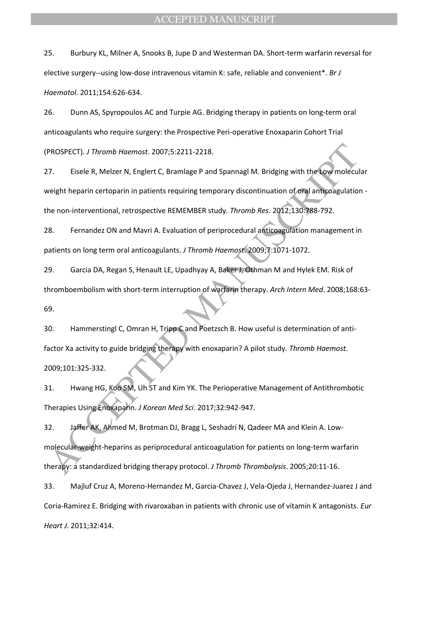25. Burbury KL, Milner A, Snooks B, Jupe D and Westerman DA. Short-term warfarin reversal for elective surgery--using low-dose intravenous vitamin K: safe, reliable and convenient\*. *Br J Haematol*. 2011;154:626-634.

26. Dunn AS, Spyropoulos AC and Turpie AG. Bridging therapy in patients on long-term oral anticoagulants who require surgery: the Prospective Peri-operative Enoxaparin Cohort Trial (PROSPECT). *J Thromb Haemost*. 2007;5:2211-2218.

PROSPECT). *J* Thromb Hoemost. 2007;5:2211-2218.<br>
7. Eisele R, Melzer N, Englert C, Bramlage P and Spannagi M. Bridging with the Low molecular<br>
Weight heparin certoparin in patients requiring temporary discontinuation of o 27. Eisele R, Melzer N, Englert C, Bramlage P and Spannagl M. Bridging with the Low molecular weight heparin certoparin in patients requiring temporary discontinuation of oral anticoagulation the non-interventional, retrospective REMEMBER study. *Thromb Res*. 2012;130:788-792.

28. Fernandez ON and Mavri A. Evaluation of periprocedural anticoagulation management in patients on long term oral anticoagulants. *J Thromb Haemost*. 2009;7:1071-1072.

29. Garcia DA, Regan S, Henault LE, Upadhyay A, Baker J, Othman M and Hylek EM. Risk of thromboembolism with short-term interruption of warfarin therapy. *Arch Intern Med*. 2008;168:63- 69.

30. Hammerstingl C, Omran H, Tripp C and Poetzsch B. How useful is determination of antifactor Xa activity to guide bridging therapy with enoxaparin? A pilot study. *Thromb Haemost*. 2009;101:325-332.

31. Hwang HG, Koo SM, Uh ST and Kim YK. The Perioperative Management of Antithrombotic Therapies Using Enoxaparin. *J Korean Med Sci*. 2017;32:942-947.

32. Jaffer AK, Ahmed M, Brotman DJ, Bragg L, Seshadri N, Qadeer MA and Klein A. Lowmolecular-weight-heparins as periprocedural anticoagulation for patients on long-term warfarin therapy: a standardized bridging therapy protocol. *J Thromb Thrombolysis*. 2005;20:11-16.

33. Majluf Cruz A, Moreno-Hernandez M, Garcia-Chavez J, Vela-Ojeda J, Hernandez-Juarez J and Coria-Ramirez E. Bridging with rivaroxaban in patients with chronic use of vitamin K antagonists. *Eur Heart J*. 2011;32:414.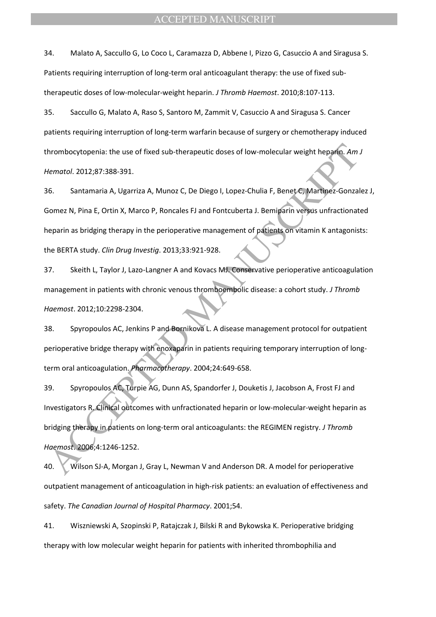34. Malato A, Saccullo G, Lo Coco L, Caramazza D, Abbene I, Pizzo G, Casuccio A and Siragusa S. Patients requiring interruption of long-term oral anticoagulant therapy: the use of fixed subtherapeutic doses of low-molecular-weight heparin. *J Thromb Haemost*. 2010;8:107-113.

35. Saccullo G, Malato A, Raso S, Santoro M, Zammit V, Casuccio A and Siragusa S. Cancer patients requiring interruption of long-term warfarin because of surgery or chemotherapy induced thrombocytopenia: the use of fixed sub-therapeutic doses of low-molecular weight heparin. *Am J Hematol*. 2012;87:388-391.

36. Santamaria A, Ugarriza A, Munoz C, De Diego I, Lopez-Chulia F, Benet C, Martinez-Gonzalez J, Gomez N, Pina E, Ortin X, Marco P, Roncales FJ and Fontcuberta J. Bemiparin versus unfractionated heparin as bridging therapy in the perioperative management of patients on vitamin K antagonists: the BERTA study. *Clin Drug Investig*. 2013;33:921-928.

37. Skeith L, Taylor J, Lazo-Langner A and Kovacs MJ. Conservative perioperative anticoagulation management in patients with chronic venous thromboembolic disease: a cohort study. *J Thromb Haemost*. 2012;10:2298-2304.

38. Spyropoulos AC, Jenkins P and Bornikova L. A disease management protocol for outpatient perioperative bridge therapy with enoxaparin in patients requiring temporary interruption of longterm oral anticoagulation. *Pharmacotherapy*. 2004;24:649-658.

hrombocytopenia: the use of fixed sub-therapeutic doses of low-molecular weight hepafin.Am.<br>
Hematol. 2012:87:388-391.<br>
Hematol. 2012:87:388-391.<br>
ACCEPTED MANUSCRIPTED MANUSCRIPT (DEPTED MANUSCRIPT MANUSCRIPT MANUSCRIPT M 39. Spyropoulos AC, Turpie AG, Dunn AS, Spandorfer J, Douketis J, Jacobson A, Frost FJ and Investigators R. Clinical outcomes with unfractionated heparin or low-molecular-weight heparin as bridging therapy in patients on long-term oral anticoagulants: the REGIMEN registry. *J Thromb Haemost*. 2006;4:1246-1252.

40. Wilson SJ-A, Morgan J, Gray L, Newman V and Anderson DR. A model for perioperative outpatient management of anticoagulation in high-risk patients: an evaluation of effectiveness and safety. *The Canadian Journal of Hospital Pharmacy*. 2001;54.

41. Wiszniewski A, Szopinski P, Ratajczak J, Bilski R and Bykowska K. Perioperative bridging therapy with low molecular weight heparin for patients with inherited thrombophilia and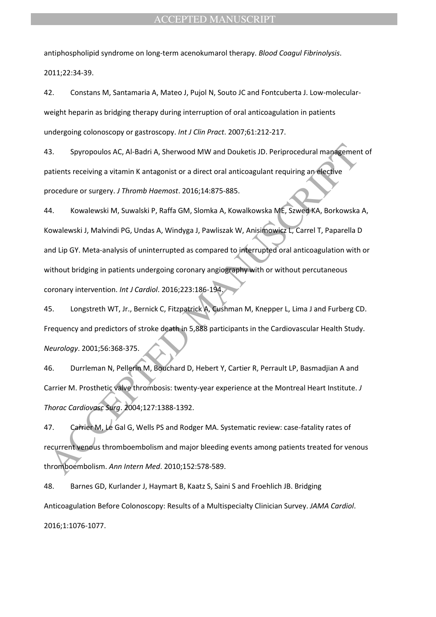antiphospholipid syndrome on long-term acenokumarol therapy. *Blood Coagul Fibrinolysis*. 2011;22:34-39.

42. Constans M, Santamaria A, Mateo J, Pujol N, Souto JC and Fontcuberta J. Low-molecularweight heparin as bridging therapy during interruption of oral anticoagulation in patients undergoing colonoscopy or gastroscopy. *Int J Clin Pract*. 2007;61:212-217.

43. Spyropoulos AC, Al-Badri A, Sherwood MW and Douketis JD. Periprocedural management of patients receiving a vitamin K antagonist or a direct oral anticoagulant requiring an elective procedure or surgery. *J Thromb Haemost*. 2016;14:875-885.

S. Spyropoulos AC, Al-Badri A, Sherwood MW and Douketis JD. Periprocedural mandgement<br>atients receiving a vitamin K antagonist or a direct oral anticoagulant requiring an elective<br>procedure or surgery. J Thromb Hatemost. 2 44. Kowalewski M, Suwalski P, Raffa GM, Slomka A, Kowalkowska ME, Szwed KA, Borkowska A, Kowalewski J, Malvindi PG, Undas A, Windyga J, Pawliszak W, Anisimowicz L, Carrel T, Paparella D and Lip GY. Meta-analysis of uninterrupted as compared to interrupted oral anticoagulation with or without bridging in patients undergoing coronary angiography with or without percutaneous coronary intervention. *Int J Cardiol*. 2016;223:186-194.

45. Longstreth WT, Jr., Bernick C, Fitzpatrick A, Cushman M, Knepper L, Lima J and Furberg CD. Frequency and predictors of stroke death in 5,888 participants in the Cardiovascular Health Study. *Neurology*. 2001;56:368-375.

46. Durrleman N, Pellerin M, Bouchard D, Hebert Y, Cartier R, Perrault LP, Basmadjian A and Carrier M. Prosthetic valve thrombosis: twenty-year experience at the Montreal Heart Institute. *J Thorac Cardiovasc Surg*. 2004;127:1388-1392.

47. Carrier M, Le Gal G, Wells PS and Rodger MA. Systematic review: case-fatality rates of recurrent venous thromboembolism and major bleeding events among patients treated for venous thromboembolism. *Ann Intern Med*. 2010;152:578-589.

48. Barnes GD, Kurlander J, Haymart B, Kaatz S, Saini S and Froehlich JB. Bridging Anticoagulation Before Colonoscopy: Results of a Multispecialty Clinician Survey. *JAMA Cardiol*. 2016;1:1076-1077.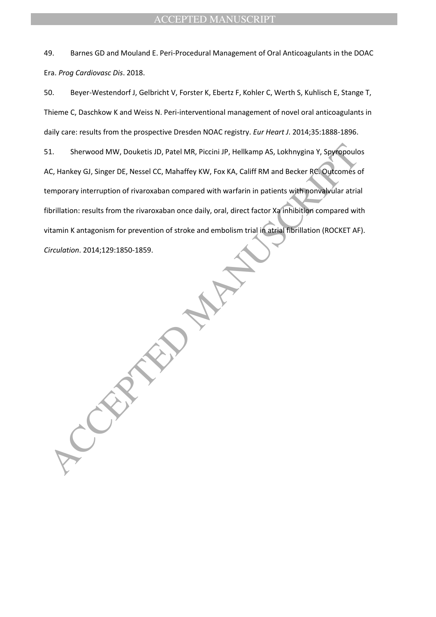49. Barnes GD and Mouland E. Peri-Procedural Management of Oral Anticoagulants in the DOAC Era. *Prog Cardiovasc Dis*. 2018.

50. Beyer-Westendorf J, Gelbricht V, Forster K, Ebertz F, Kohler C, Werth S, Kuhlisch E, Stange T, Thieme C, Daschkow K and Weiss N. Peri-interventional management of novel oral anticoagulants in daily care: results from the prospective Dresden NOAC registry. *Eur Heart J*. 2014;35:1888-1896.

i. Sherwood MW, Douketis JD, Patel MR, Piccini JP, Hellkamp AS, Lokhnygina Y, Spyropoulc<br>C., Hankey GJ, Singer DE, Nessel CC, Mahaffey KW, Fox KA, Callif RM and Becker RC. Outcomes c<br>emporary interruption of rivaroxaban co 51. Sherwood MW, Douketis JD, Patel MR, Piccini JP, Hellkamp AS, Lokhnygina Y, Spyropoulos AC, Hankey GJ, Singer DE, Nessel CC, Mahaffey KW, Fox KA, Califf RM and Becker RC. Outcomes of temporary interruption of rivaroxaban compared with warfarin in patients with nonvalvular atrial fibrillation: results from the rivaroxaban once daily, oral, direct factor Xa inhibition compared with vitamin K antagonism for prevention of stroke and embolism trial in atrial fibrillation (ROCKET AF). *Circulation*. 2014;129:1850-1859.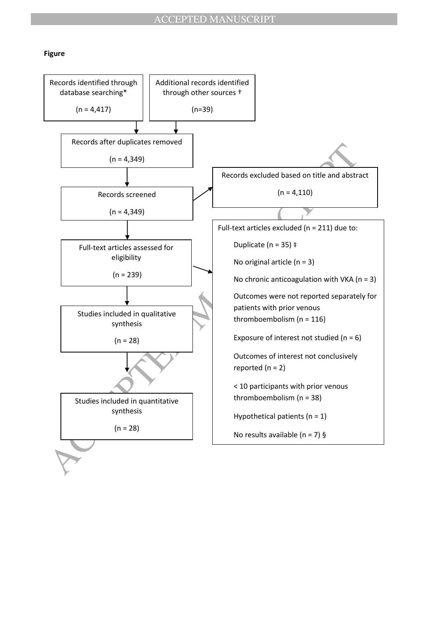#### **Figure**

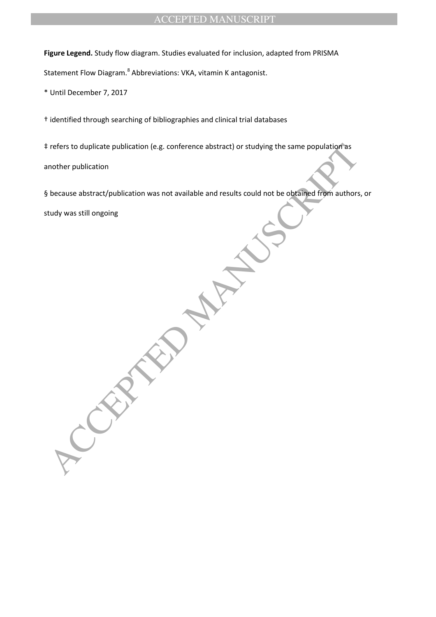**Figure Legend.** Study flow diagram. Studies evaluated for inclusion, adapted from PRISMA

Statement Flow Diagram.<sup>8</sup> Abbreviations: VKA, vitamin K antagonist.

\* Until December 7, 2017

† identified through searching of bibliographies and clinical trial databases

‡ refers to duplicate publication (e.g. conference abstract) or studying the same population as another publication

§ because abstract/publication was not available and results could not be obtained from authors, or

study was still ongoing

refers to duplicate publication (e.g. conference abstract) or studying the same population's<br>nother publication<br>because abstract/publication was not available and results could not be obtained from authors<br>tudy was still o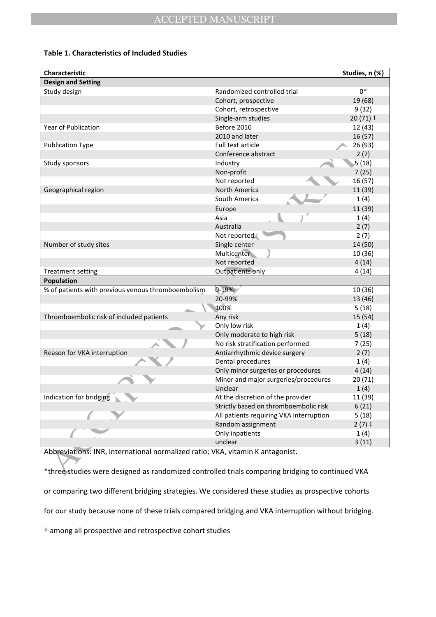### **Table 1. Characteristics of Included Studies**

| Characteristic                                                                                                                                                                     |                                         | Studies, n (%) |
|------------------------------------------------------------------------------------------------------------------------------------------------------------------------------------|-----------------------------------------|----------------|
| <b>Design and Setting</b>                                                                                                                                                          |                                         |                |
| Study design                                                                                                                                                                       | Randomized controlled trial             | $0*$           |
|                                                                                                                                                                                    | Cohort, prospective                     | 19 (68)        |
|                                                                                                                                                                                    | Cohort, retrospective                   | 9(32)          |
|                                                                                                                                                                                    | Single-arm studies                      | $20(71)$ +     |
| Year of Publication                                                                                                                                                                | Before 2010                             | 12 (43)        |
|                                                                                                                                                                                    | 2010 and later                          | 16(57)         |
| <b>Publication Type</b>                                                                                                                                                            | Full text article                       | 26 (93)        |
|                                                                                                                                                                                    | Conference abstract                     | 2(7)           |
| Study sponsors                                                                                                                                                                     | Industry                                | 5(18)          |
|                                                                                                                                                                                    | Non-profit                              | 7(25)          |
|                                                                                                                                                                                    | Not reported                            | 16 (57)        |
| Geographical region                                                                                                                                                                | North America                           | 11 (39)        |
|                                                                                                                                                                                    | South America                           | 1(4)           |
|                                                                                                                                                                                    | Europe                                  | 11 (39)        |
|                                                                                                                                                                                    | Asia                                    | 1(4)           |
|                                                                                                                                                                                    | Australia                               | 2(7)           |
|                                                                                                                                                                                    | Not reported                            | 2(7)           |
| Number of study sites                                                                                                                                                              | Single center                           | 14 (50)        |
|                                                                                                                                                                                    | Multicenter                             | 10 (36)        |
|                                                                                                                                                                                    | Not reported                            | 4(14)          |
| <b>Treatment setting</b>                                                                                                                                                           | Outpatients only                        | 4(14)          |
| Population                                                                                                                                                                         |                                         |                |
| % of patients with previous venous thromboembolism                                                                                                                                 | $0 - 19%$                               | 10 (36)        |
|                                                                                                                                                                                    | 20-99%                                  | 13 (46)        |
|                                                                                                                                                                                    | 100%                                    | 5(18)          |
| Thromboembolic risk of included patients                                                                                                                                           | Any risk                                | 15 (54)        |
|                                                                                                                                                                                    | Only low risk                           | 1(4)           |
|                                                                                                                                                                                    | Only moderate to high risk              | 5(18)          |
|                                                                                                                                                                                    | No risk stratification performed        | 7(25)          |
| Reason for VKA interruption                                                                                                                                                        | Antiarrhythmic device surgery           | 2(7)           |
|                                                                                                                                                                                    | Dental procedures                       | 1(4)           |
|                                                                                                                                                                                    | Only minor surgeries or procedures      | 4(14)          |
|                                                                                                                                                                                    | Minor and major surgeries/procedures    | 20(71)         |
|                                                                                                                                                                                    | Unclear                                 | 1(4)           |
| Indication for bridging                                                                                                                                                            | At the discretion of the provider       | 11 (39)        |
|                                                                                                                                                                                    | Strictly based on thromboembolic risk   | 6(21)          |
|                                                                                                                                                                                    | All patients requiring VKA interruption | 5(18)          |
|                                                                                                                                                                                    | Random assignment                       | $2(7)$ ‡       |
|                                                                                                                                                                                    | Only inpatients                         | 1(4)           |
|                                                                                                                                                                                    | unclear                                 | 3(11)          |
| Abbreviations: INR, international normalized ratio; VKA, vitamin K antagonist.<br>*three studies were designed as randomized controlled trials comparing bridging to continued VKA |                                         |                |

\*three studies were designed as randomized controlled trials comparing bridging to continued VKA or comparing two different bridging strategies. We considered these studies as prospective cohorts for our study because none of these trials compared bridging and VKA interruption without bridging.

† among all prospective and retrospective cohort studies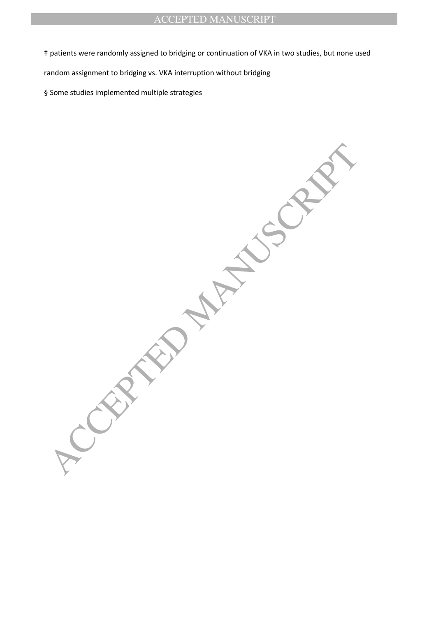‡ patients were randomly assigned to bridging or continuation of VKA in two studies, but none used

random assignment to bridging vs. VKA interruption without bridging

§ Some studies implemented multiple strategies

ACCEPTED MANUSCRIPT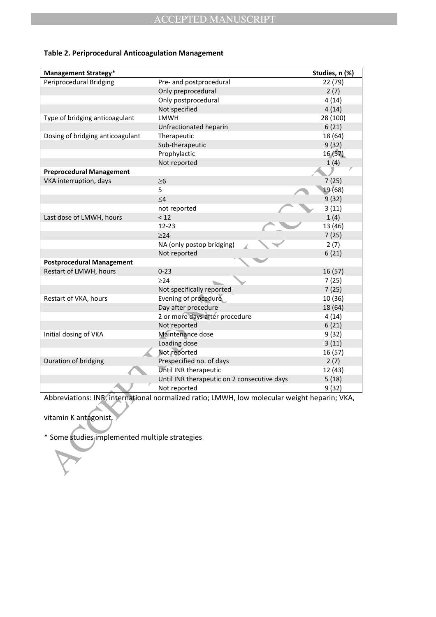| <b>Management Strategy*</b>                    |                                                                                              | Studies, n (%) |
|------------------------------------------------|----------------------------------------------------------------------------------------------|----------------|
| Periprocedural Bridging                        | Pre- and postprocedural                                                                      | 22 (79)        |
|                                                | Only preprocedural                                                                           | 2(7)           |
|                                                | Only postprocedural                                                                          | 4(14)          |
|                                                | Not specified                                                                                | 4(14)          |
| Type of bridging anticoagulant                 | <b>LMWH</b>                                                                                  | 28 (100)       |
|                                                | Unfractionated heparin                                                                       | 6(21)          |
| Dosing of bridging anticoagulant               | Therapeutic                                                                                  | 18 (64)        |
|                                                | Sub-therapeutic                                                                              | 9(32)          |
|                                                | Prophylactic                                                                                 | 16(57)         |
|                                                | Not reported                                                                                 | 1(4)           |
| <b>Preprocedural Management</b>                |                                                                                              |                |
| VKA interruption, days                         | $\geq 6$                                                                                     | 7(25)          |
|                                                | 5                                                                                            | 19(68)         |
|                                                | $\leq 4$                                                                                     | 9(32)          |
|                                                | not reported                                                                                 | 3(11)          |
| Last dose of LMWH, hours                       | < 12                                                                                         | 1(4)           |
|                                                | $12 - 23$                                                                                    | 13 (46)        |
|                                                | $\geq$ 24                                                                                    | 7(25)          |
|                                                | NA (only postop bridging)                                                                    | 2(7)           |
|                                                | Not reported                                                                                 | 6(21)          |
| <b>Postprocedural Management</b>               |                                                                                              |                |
| Restart of LMWH, hours                         | $0 - 23$                                                                                     | 16 (57)        |
|                                                | $\geq$ 24                                                                                    | 7(25)          |
|                                                | Not specifically reported                                                                    | 7(25)          |
| Restart of VKA, hours                          | Evening of procedure                                                                         | 10 (36)        |
|                                                | Day after procedure                                                                          | 18 (64)        |
|                                                | 2 or more days after procedure                                                               | 4 (14)         |
|                                                | Not reported                                                                                 | 6(21)          |
| Initial dosing of VKA                          | Maintenance dose                                                                             | 9(32)          |
|                                                | Loading dose                                                                                 | 3(11)          |
|                                                | Not reported                                                                                 | 16 (57)        |
| Duration of bridging                           | Prespecified no. of days                                                                     | 2(7)           |
|                                                | Until INR therapeutic                                                                        | 12 (43)        |
|                                                | Until INR therapeutic on 2 consecutive days                                                  | 5(18)          |
|                                                | Not reported                                                                                 | 9(32)          |
|                                                |                                                                                              |                |
|                                                | Abbreviations: INR, international normalized ratio; LMWH, low molecular weight heparin; VKA, |                |
|                                                |                                                                                              |                |
| vitamin K antagonist.                          |                                                                                              |                |
|                                                |                                                                                              |                |
| * Some studies implemented multiple strategies |                                                                                              |                |
|                                                |                                                                                              |                |
|                                                |                                                                                              |                |
|                                                |                                                                                              |                |
|                                                |                                                                                              |                |

### **Table 2. Periprocedural Anticoagulation Management**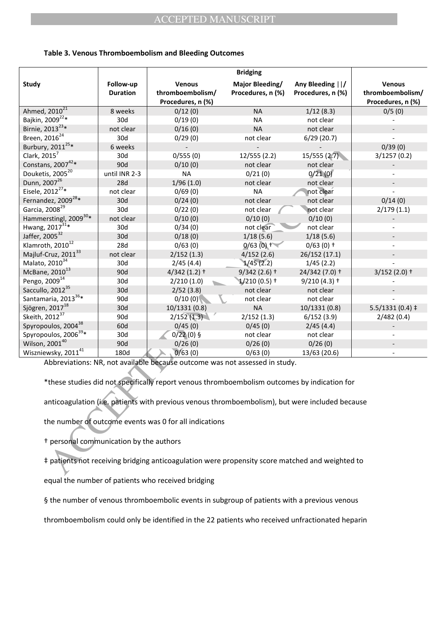|                                         |                              |                                                                                                                                                                             | <b>Bridging</b>                             |                                        |                                                        |
|-----------------------------------------|------------------------------|-----------------------------------------------------------------------------------------------------------------------------------------------------------------------------|---------------------------------------------|----------------------------------------|--------------------------------------------------------|
| <b>Study</b>                            | Follow-up<br><b>Duration</b> | <b>Venous</b><br>thromboembolism/<br>Procedures, n (%)                                                                                                                      | <b>Major Bleeding/</b><br>Procedures, n (%) | Any Bleeding    /<br>Procedures, n (%) | <b>Venous</b><br>thromboembolism/<br>Procedures, n (%) |
| Ahmed, 2010 <sup>21</sup>               | 8 weeks                      | 0/12(0)                                                                                                                                                                     | <b>NA</b>                                   | 1/12(8.3)                              | 0/5(0)                                                 |
| Bajkin, 2009 <sup>22*</sup>             | 30d                          | 0/19(0)                                                                                                                                                                     | <b>NA</b>                                   | not clear                              |                                                        |
| Birnie, 2013 <sup>23</sup> *            | not clear                    | 0/16(0)                                                                                                                                                                     | <b>NA</b>                                   | not clear                              |                                                        |
| Breen, 2016 <sup>24</sup>               | 30d                          | 0/29(0)                                                                                                                                                                     | not clear                                   | 6/29(20.7)                             |                                                        |
| Burbury, 2011 <sup>25</sup> *           | 6 weeks                      |                                                                                                                                                                             |                                             |                                        | 0/39(0)                                                |
| Clark, $2015^7$                         | 30d                          | 0/555(0)                                                                                                                                                                    | 12/555 (2.2)                                | 15/555(2.7)                            | 3/1257(0.2)                                            |
| Constans, 2007 <sup>42*</sup>           | 90d                          | 0/10(0)                                                                                                                                                                     | not clear                                   | not clear                              |                                                        |
| Douketis, 2005 <sup>20</sup>            | until INR 2-3                | <b>NA</b>                                                                                                                                                                   | 0/21(0)                                     | 0/21(0)                                |                                                        |
| Dunn, 2007 <sup>26</sup>                | 28d                          | 1/96(1.0)                                                                                                                                                                   | not clear                                   | not clear                              |                                                        |
| Eisele, 2012 <sup>27</sup> *            | not clear                    | 0/69(0)                                                                                                                                                                     | <b>NA</b>                                   | not clear                              |                                                        |
| Fernandez, 2009 <sup>28</sup> *         | 30d                          | 0/24(0)                                                                                                                                                                     | not clear                                   | not clear                              | 0/14(0)                                                |
| Garcia, 2008 <sup>29</sup>              | 30d                          | 0/22(0)                                                                                                                                                                     | not clear                                   | not clear                              | 2/179(1.1)                                             |
| Hammerstingl, 2009 <sup>30*</sup>       | not clear                    | 0/10(0)                                                                                                                                                                     | 0/10(0)                                     | 0/10(0)                                |                                                        |
| Hwang, 2017 <sup>31*</sup>              | 30d                          | 0/34(0)                                                                                                                                                                     | not clear                                   | not clear                              |                                                        |
| Jaffer, 2005 <sup>32</sup>              | 30d                          | 0/18(0)                                                                                                                                                                     | 1/18(5.6)                                   | 1/18(5.6)                              |                                                        |
| Klamroth, 2010 <sup>12</sup>            | 28d                          | 0/63(0)                                                                                                                                                                     | $0/63(0)$ +                                 | $0/63(0)$ +                            |                                                        |
| Majluf-Cruz, 2011 <sup>33</sup>         | not clear                    | 2/152(1.3)                                                                                                                                                                  | 4/152(2.6)                                  | 26/152 (17.1)                          |                                                        |
| Malato, 2010 <sup>34</sup>              | 30d                          | 2/45(4.4)                                                                                                                                                                   | 1/45(2.2)                                   | 1/45(2.2)                              |                                                        |
| McBane, 2010 <sup>13</sup>              | 90d                          | $4/342(1.2)$ +                                                                                                                                                              | $9/342(2.6)$ +                              | 24/342 (7.0) +                         | $3/152(2.0)$ +                                         |
| Pengo, 2009 <sup>14</sup>               | 30d                          | 2/210(1.0)                                                                                                                                                                  | $1/210(0.5)$ †                              | $9/210(4.3)$ †                         |                                                        |
| Saccullo, 2012 <sup>35</sup>            | 30d                          | 2/52(3.8)                                                                                                                                                                   | not clear                                   | not clear                              |                                                        |
| Santamaria, 2013 <sup>36*</sup>         | 90d                          | 0/10(0)                                                                                                                                                                     | not clear                                   | not clear                              |                                                        |
| Sjögren, 2017 <sup>18</sup>             | 30d                          | 10/1331(0.8)                                                                                                                                                                | <b>NA</b>                                   | 10/1331(0.8)                           | $5.5/1331(0.4)$ ‡                                      |
| Skeith, 2012 <sup>37</sup>              | 90d                          | 2/152(1.3)                                                                                                                                                                  | 2/152(1.3)                                  | 6/152(3.9)                             | 2/482(0.4)                                             |
| Spyropoulos, 2004 <sup>38</sup>         | 60d                          | 0/45(0)                                                                                                                                                                     | 0/45(0)                                     | 2/45(4.4)                              |                                                        |
| Spyropoulos, 2006 <sup>39*</sup>        | 30d                          | $0/22(0)$ §                                                                                                                                                                 | not clear                                   | not clear                              |                                                        |
| Wilson, 200140                          | 90d                          | 0/26(0)                                                                                                                                                                     | 0/26(0)                                     | 0/26(0)                                |                                                        |
| Wiszniewsky, 2011 <sup>41</sup>         | 180d                         | 0/63(0)                                                                                                                                                                     | 0/63(0)                                     | 13/63 (20.6)                           |                                                        |
|                                         |                              | Abbreviations: NR, not available because outcome was not assessed in study.<br>*these studies did not specifically report venous thromboembolism outcomes by indication for |                                             |                                        |                                                        |
|                                         |                              | anticoagulation (i.e. patients with previous venous thromboembolism), but were included because                                                                             |                                             |                                        |                                                        |
|                                         |                              | the number of outcome events was 0 for all indications                                                                                                                      |                                             |                                        |                                                        |
| + personal communication by the authors |                              |                                                                                                                                                                             |                                             |                                        |                                                        |
|                                         |                              | ‡ patients not receiving bridging anticoagulation were propensity score matched and weighted to                                                                             |                                             |                                        |                                                        |

#### **Table 3. Venous Thromboembolism and Bleeding Outcomes**

equal the number of patients who received bridging

§ the number of venous thromboembolic events in subgroup of patients with a previous venous

thromboembolism could only be identified in the 22 patients who received unfractionated heparin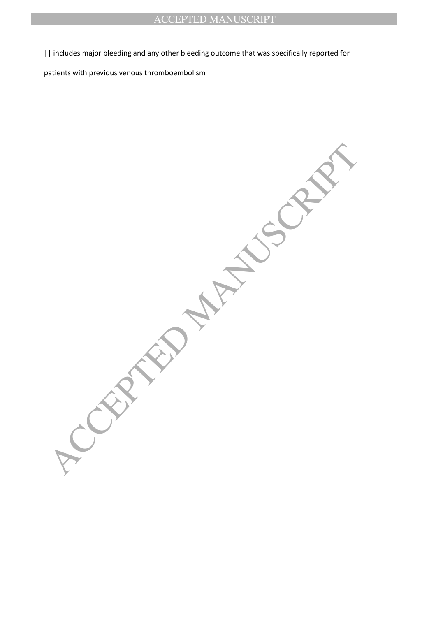|| includes major bleeding and any other bleeding outcome that was specifically reported for

patients with previous venous thromboembolism

**ACCEPTED MANUSCRIPT**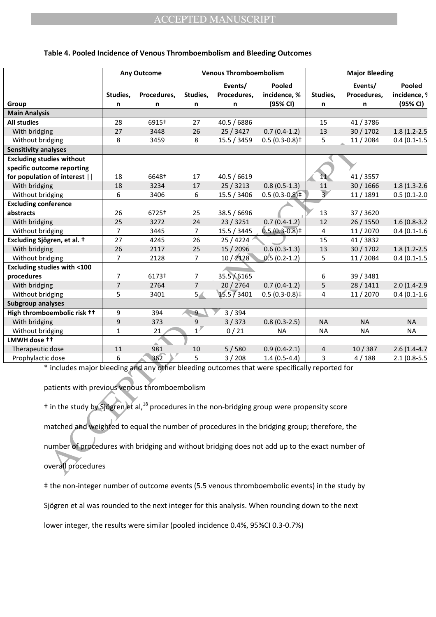#### **Table 4. Pooled Incidence of Venous Thromboembolism and Bleeding Outcomes**

|                                                                                                                      |                | <b>Any Outcome</b> |                | <b>Venous Thromboembolism</b> |                             |                | <b>Major Bleeding</b> |                  |
|----------------------------------------------------------------------------------------------------------------------|----------------|--------------------|----------------|-------------------------------|-----------------------------|----------------|-----------------------|------------------|
|                                                                                                                      |                |                    |                | Events/                       | Pooled                      |                | Events/               | Pooled           |
|                                                                                                                      | Studies,       | Procedures,        | Studies,       | Procedures,                   | incidence, %                | Studies,       | Procedures,           | incidence, 9     |
| Group                                                                                                                | n              | n                  | n              | n                             | (95% CI)                    | n              | n                     | (95% CI)         |
| <b>Main Analysis</b>                                                                                                 |                |                    |                |                               |                             |                |                       |                  |
| <b>All studies</b>                                                                                                   | 28             | 6915+              | 27             | 40.5 / 6886                   |                             | 15             | 41/3786               |                  |
| With bridging                                                                                                        | 27             | 3448               | 26             | 25 / 3427                     | $0.7(0.4-1.2)$              | 13             | 30/1702               | $1.8(1.2 - 2.5)$ |
| Without bridging                                                                                                     | 8              | 3459               | 8              | 15.5 / 3459                   | $0.5(0.3-0.8)$ ‡            | 5              | 11/2084               | $0.4(0.1-1.5)$   |
| <b>Sensitivity analyses</b>                                                                                          |                |                    |                |                               |                             |                |                       |                  |
| <b>Excluding studies without</b>                                                                                     |                |                    |                |                               |                             |                |                       |                  |
| specific outcome reporting                                                                                           |                |                    |                |                               |                             |                |                       |                  |
| for population of interest                                                                                           | 18             | 6648†              | 17             | 40.5 / 6619                   |                             | 11.            | 41 / 3557             |                  |
| With bridging                                                                                                        | 18             | 3234               | 17             | 25/3213                       | $0.8(0.5-1.3)$              | 11             | 30/1666               | $1.8(1.3-2.6)$   |
| Without bridging                                                                                                     | 6              | 3406               | 6              | 15.5 / 3406                   | $0.5(0.3-0.8)$ <sup>‡</sup> | $\overline{3}$ | 11/1891               | $0.5(0.1-2.0)$   |
| <b>Excluding conference</b>                                                                                          |                |                    |                |                               |                             |                |                       |                  |
| abstracts                                                                                                            | 26             | 6725+              | 25             | 38.5 / 6696                   |                             | 13             | 37 / 3620             |                  |
| With bridging                                                                                                        | 25             | 3272               | 24             | 23/3251                       | $0.7(0.4-1.2)$              | 12             | 26/1550               | $1.6(0.8-3.2)$   |
| Without bridging                                                                                                     | $\overline{7}$ | 3445               | $\overline{7}$ | 15.5 / 3445                   | $0.5(0.3-0.8)$ ‡            | 4              | 11/2070               | $0.4(0.1-1.6)$   |
| Excluding Sjögren, et al. +                                                                                          | 27             | 4245               | 26             | 25 / 4224                     |                             | 15             | 41/3832               |                  |
| With bridging                                                                                                        | 26             | 2117               | 25             | 15 / 2096                     | $0.6(0.3-1.3)$              | 13             | 30 / 1702             | $1.8(1.2 - 2.5)$ |
| Without bridging                                                                                                     | $\overline{7}$ | 2128               | $\overline{7}$ | 10/2128                       | $0.5(0.2-1.2)$              | 5              | 11/2084               | $0.4(0.1-1.5)$   |
| <b>Excluding studies with &lt;100</b>                                                                                |                |                    |                |                               |                             |                |                       |                  |
| procedures                                                                                                           | $\overline{7}$ | 6173†              | $\overline{7}$ | 35.5 / 6165                   |                             | 6              | 39 / 3481             |                  |
| With bridging                                                                                                        | $\overline{7}$ | 2764               | $\overline{7}$ | 20 / 2764                     | $0.7(0.4-1.2)$              | 5              | 28/1411               | $2.0(1.4-2.9)$   |
| Without bridging                                                                                                     | 5              | 3401               | 5 <sub>4</sub> | 15.5 / 3401                   | $0.5(0.3-0.8)$ ‡            | 4              | 11/2070               | $0.4(0.1-1.6)$   |
| <b>Subgroup analyses</b>                                                                                             |                |                    |                |                               |                             |                |                       |                  |
| High thromboembolic risk ++                                                                                          | 9              | 394                | $9 -$          | 3/394                         |                             |                |                       |                  |
| With bridging                                                                                                        | 9              | 373                | 9              | 3/373                         | $0.8(0.3-2.5)$              | <b>NA</b>      | <b>NA</b>             | <b>NA</b>        |
| Without bridging                                                                                                     | $\mathbf{1}$   | 21                 | 1 <sup>7</sup> | 0/21                          | <b>NA</b>                   | NA             | NA                    | NA               |
| LMWH dose <sup>++</sup>                                                                                              |                |                    |                |                               |                             |                |                       |                  |
| Therapeutic dose                                                                                                     | 11             | 981                | 10             | 5/580                         | $0.9(0.4-2.1)$              | $\overline{4}$ | 10/387                | $2.6(1.4-4.7)$   |
| Prophylactic dose                                                                                                    | 6              | 362                | 5              | 3/208                         | $1.4(0.5-4.4)$              | 3              | 4/188                 | $2.1(0.8-5.5)$   |
| * includes major bleeding and any other bleeding outcomes that were specifically reported for                        |                |                    |                |                               |                             |                |                       |                  |
|                                                                                                                      |                |                    |                |                               |                             |                |                       |                  |
| patients with previous venous thromboembolism                                                                        |                |                    |                |                               |                             |                |                       |                  |
|                                                                                                                      |                |                    |                |                               |                             |                |                       |                  |
| <sup>†</sup> in the study by Sjögren et al, <sup>18</sup> procedures in the non-bridging group were propensity score |                |                    |                |                               |                             |                |                       |                  |
| matched and weighted to equal the number of procedures in the bridging group; therefore, the                         |                |                    |                |                               |                             |                |                       |                  |
|                                                                                                                      |                |                    |                |                               |                             |                |                       |                  |
| number of procedures with bridging and without bridging does not add up to the exact number of                       |                |                    |                |                               |                             |                |                       |                  |
| overall procedures                                                                                                   |                |                    |                |                               |                             |                |                       |                  |
|                                                                                                                      |                |                    |                |                               |                             |                |                       |                  |

‡ the non-integer number of outcome events (5.5 venous thromboembolic events) in the study by

Sjögren et al was rounded to the next integer for this analysis. When rounding down to the next

lower integer, the results were similar (pooled incidence 0.4%, 95%CI 0.3-0.7%)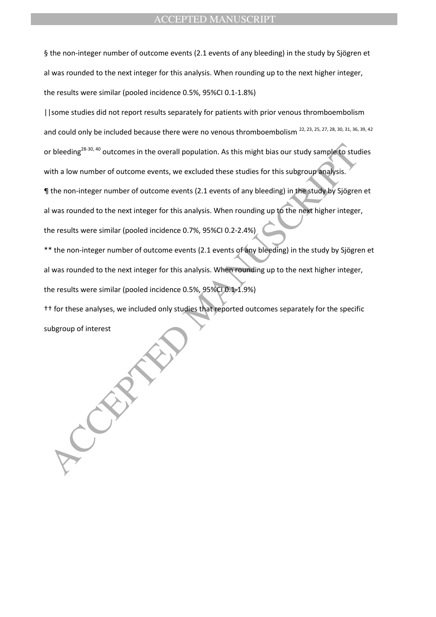§ the non-integer number of outcome events (2.1 events of any bleeding) in the study by Sjögren et al was rounded to the next integer for this analysis. When rounding up to the next higher integer, the results were similar (pooled incidence 0.5%, 95%CI 0.1-1.8%)

||some studies did not report results separately for patients with prior venous thromboembolism and could only be included because there were no venous thromboembolism <sup>22, 23, 25, 27, 28, 30, 31, 36, 39, 42</sup> or bleeding<sup>28-30, 40</sup> outcomes in the overall population. As this might bias our study sample to studies with a low number of outcome events, we excluded these studies for this subgroup analysis.

¶ the non-integer number of outcome events (2.1 events of any bleeding) in the study by Sjögren et al was rounded to the next integer for this analysis. When rounding up to the next higher integer,

the results were similar (pooled incidence 0.7%, 95%CI 0.2-2.4%)

or bleeding<sup>29-30, 40</sup> outcomes in the overall population. As this might bias our study sample to studing the studies of this subgroup analysis.<br>With a low number of outcome events, we excluded these studies for this subgr \*\* the non-integer number of outcome events (2.1 events of any bleeding) in the study by Sjögren et al was rounded to the next integer for this analysis. When rounding up to the next higher integer, the results were similar (pooled incidence 0.5%, 95%CI 0.1-1.9%)

†† for these analyses, we included only studies that reported outcomes separately for the specific subgroup of interest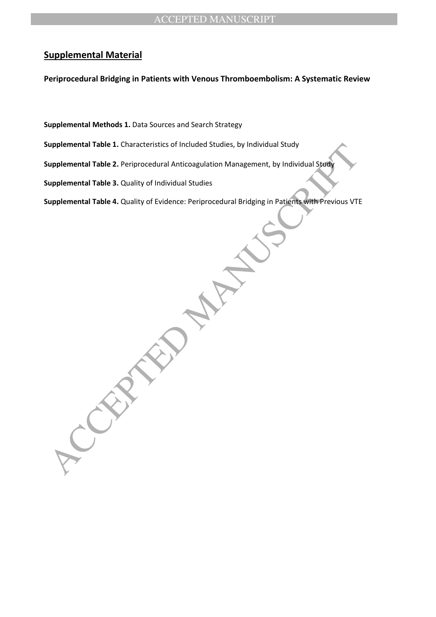## **Supplemental Material**

**Periprocedural Bridging in Patients with Venous Thromboembolism: A Systematic Review** 

**Supplemental Methods 1.** Data Sources and Search Strategy

**Supplemental Table 1.** Characteristics of Included Studies, by Individual Study

**Supplemental Table 2.** Periprocedural Anticoagulation Management, by Individual Study

**Supplemental Table 3.** Quality of Individual Studies

**Supplemental Table 4.** Quality of Evidence: Periprocedural Bridging in Patients with Previous VTE

upplemental Table 1. Characterstics of Included Studies, by Individual Study<br>upplemental Table 2. Periprocedural Anticoagulation Management, by Individual Study<br>upplemental Table 4. Quality of Evidence: Periprocedural Brid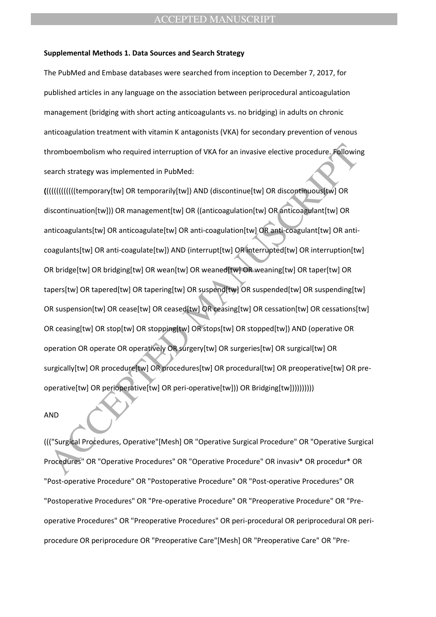#### **Supplemental Methods 1. Data Sources and Search Strategy**

The PubMed and Embase databases were searched from inception to December 7, 2017, for published articles in any language on the association between periprocedural anticoagulation management (bridging with short acting anticoagulants vs. no bridging) in adults on chronic anticoagulation treatment with vitamin K antagonists (VKA) for secondary prevention of venous thromboembolism who required interruption of VKA for an invasive elective procedure. Following search strategy was implemented in PubMed:

ACCEPTED MANUSCRIPT **(**((((((((((((temporary[tw] OR temporarily[tw]) AND (discontinue[tw] OR discontinuous[tw] OR discontinuation[tw])) OR management[tw] OR ((anticoagulation[tw] OR anticoagulant[tw] OR anticoagulants[tw] OR anticoagulate[tw] OR anti-coagulation[tw] OR anti-coagulant[tw] OR anticoagulants[tw] OR anti-coagulate[tw]) AND (interrupt[tw] OR interrupted[tw] OR interruption[tw] OR bridge[tw] OR bridging[tw] OR wean[tw] OR weaned[tw] OR weaning[tw] OR taper[tw] OR tapers[tw] OR tapered[tw] OR tapering[tw] OR suspend[tw] OR suspended[tw] OR suspending[tw] OR suspension[tw] OR cease[tw] OR ceased[tw] OR ceasing[tw] OR cessation[tw] OR cessations[tw] OR ceasing[tw] OR stop[tw] OR stopping[tw] OR stops[tw] OR stopped[tw]) AND (operative OR operation OR operate OR operatively OR surgery[tw] OR surgeries[tw] OR surgical[tw] OR surgically[tw] OR procedure[tw] OR procedures[tw] OR procedural[tw] OR preoperative[tw] OR preoperative[tw] OR perioperative[tw] OR peri-operative[tw])) OR Bridging[tw])))))))))

#### AND

((("Surgical Procedures, Operative"[Mesh] OR "Operative Surgical Procedure" OR "Operative Surgical Procedures" OR "Operative Procedures" OR "Operative Procedure" OR invasiv\* OR procedur\* OR "Post-operative Procedure" OR "Postoperative Procedure" OR "Post-operative Procedures" OR "Postoperative Procedures" OR "Pre-operative Procedure" OR "Preoperative Procedure" OR "Preoperative Procedures" OR "Preoperative Procedures" OR peri-procedural OR periprocedural OR periprocedure OR periprocedure OR "Preoperative Care"[Mesh] OR "Preoperative Care" OR "Pre-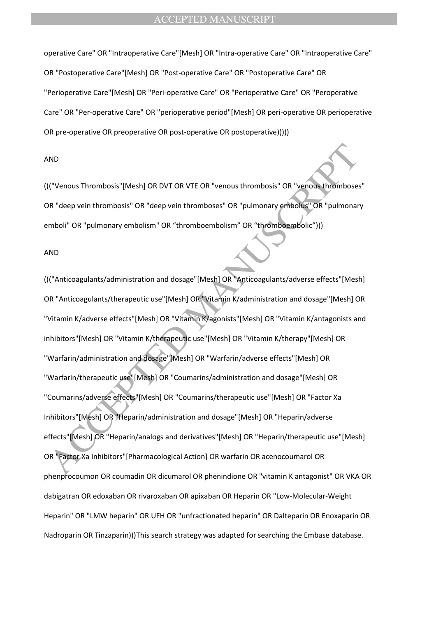operative Care" OR "Intraoperative Care"[Mesh] OR "Intra-operative Care" OR "Intraoperative Care" OR "Postoperative Care"[Mesh] OR "Post-operative Care" OR "Postoperative Care" OR "Perioperative Care"[Mesh] OR "Peri-operative Care" OR "Perioperative Care" OR "Peroperative Care" OR "Per-operative Care" OR "perioperative period"[Mesh] OR peri-operative OR perioperative OR pre-operative OR preoperative OR post-operative OR postoperative)))))

### AND

((("Venous Thrombosis"[Mesh] OR DVT OR VTE OR "venous thrombosis" OR "venous thromboses" OR "deep vein thrombosis" OR "deep vein thromboses" OR "pulmonary embolus" OR "pulmonary emboli" OR "pulmonary embolism" OR "thromboembolism" OR "thromboembolic")))

#### AND

NO<br>
(("Venous Thrombosis" [Mesh] OR DVT OR VTE OR "venous thrombosis" OR "venoue thromboses"<br>
The "venous Thrombosis" OR "deep vein thromboses" OR "pulmonary embolis" OR "pulmonary<br>
mboli" OR "pulmonary embolism" OR "throm ((("Anticoagulants/administration and dosage"[Mesh] OR "Anticoagulants/adverse effects"[Mesh] OR "Anticoagulants/therapeutic use"[Mesh] OR "Vitamin K/administration and dosage"[Mesh] OR "Vitamin K/adverse effects"[Mesh] OR "Vitamin K/agonists"[Mesh] OR "Vitamin K/antagonists and inhibitors"[Mesh] OR "Vitamin K/therapeutic use"[Mesh] OR "Vitamin K/therapy"[Mesh] OR "Warfarin/administration and dosage"[Mesh] OR "Warfarin/adverse effects"[Mesh] OR "Warfarin/therapeutic use"[Mesh] OR "Coumarins/administration and dosage"[Mesh] OR "Coumarins/adverse effects"[Mesh] OR "Coumarins/therapeutic use"[Mesh] OR "Factor Xa Inhibitors"[Mesh] OR "Heparin/administration and dosage"[Mesh] OR "Heparin/adverse effects"[Mesh] OR "Heparin/analogs and derivatives"[Mesh] OR "Heparin/therapeutic use"[Mesh] OR "Factor Xa Inhibitors"[Pharmacological Action] OR warfarin OR acenocoumarol OR phenprocoumon OR coumadin OR dicumarol OR phenindione OR "vitamin K antagonist" OR VKA OR dabigatran OR edoxaban OR rivaroxaban OR apixaban OR Heparin OR "Low-Molecular-Weight Heparin" OR "LMW heparin" OR UFH OR "unfractionated heparin" OR Dalteparin OR Enoxaparin OR Nadroparin OR Tinzaparin)))This search strategy was adapted for searching the Embase database.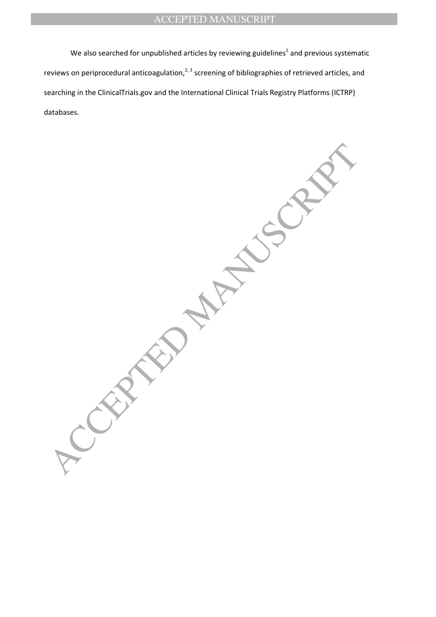We also searched for unpublished articles by reviewing guidelines<sup>1</sup> and previous systematic reviews on periprocedural anticoagulation, $^{2, 3}$  screening of bibliographies of retrieved articles, and searching in the ClinicalTrials.gov and the International Clinical Trials Registry Platforms (ICTRP) databases.

 $P_{\mathcal{S}}^{\mathcal{S}}$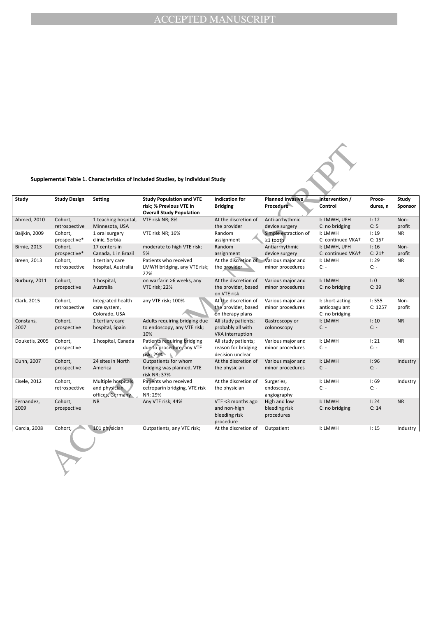#### **Supplemental Table 1. Characteristics of Included Studies, by Individual Study**

|                     |                          |                                                         | Supplemental Table 1. Characteristics of Included Studies, by Individual Study                |                                                                 |                                             |                                                    |                    |                  |
|---------------------|--------------------------|---------------------------------------------------------|-----------------------------------------------------------------------------------------------|-----------------------------------------------------------------|---------------------------------------------|----------------------------------------------------|--------------------|------------------|
| Study               | <b>Study Design</b>      | <b>Setting</b>                                          | <b>Study Population and VTE</b><br>risk: % Previous VTE in<br><b>Overall Study Population</b> | <b>Indication for</b><br><b>Bridging</b>                        | Planned Invasive<br><b>Procedure</b>        | Intervention /<br>Control                          | Proce-<br>dures, n | Study<br>Sponsor |
| Ahmed, 2010         | Cohort,<br>retrospective | 1 teaching hospital,<br>Minnesota, USA                  | VTE risk NR; 8%                                                                               | At the discretion of<br>the provider                            | Anti-arrhythmic<br>device surgery           | I: LMWH, UFH<br>C: no bridging                     | I: 12<br>C: 5      | Non-<br>profit   |
| Baijkin, 2009       | Cohort,<br>prospective*  | 1 oral surgery<br>clinic, Serbia                        | VTE risk NR; 16%                                                                              | Random<br>assignment                                            | Simple extraction of<br>$\geq$ 1 tooth      | I: LMWH<br>C: continued VKA+                       | I: 19<br>$C: 15+$  | <b>NR</b>        |
| <b>Birnie, 2013</b> | Cohort,<br>prospective*  | 17 centers in<br>Canada, 1 in Brazil                    | moderate to high VTE risk;<br>5%                                                              | Random<br>assignment                                            | Antiarrhythmic<br>device surgery            | I: LMWH, UFH<br>C: continued VKA+                  | I: 16<br>$C: 21+$  | Non-<br>profit   |
| Breen, 2013         | Cohort,<br>retrospective | 1 tertiary care<br>hospital, Australia                  | Patients who received<br>LMWH bridging, any VTE risk;<br>27%                                  | At the discretion of<br>the provider                            | Various major and<br>minor procedures       | I: LMWH<br>$C: -$                                  | I: 29<br>$C: -$    | <b>NR</b>        |
| Burbury, 2011       | Cohort,<br>prospective   | 1 hospital,<br>Australia                                | on warfarin >6 weeks, any<br>VTE risk; 22%                                                    | At the discretion of<br>the provider, based<br>on VTE risk      | Various major and<br>minor procedures       | I: LMWH<br>C: no bridging                          | I: 0<br>C: 39      | <b>NR</b>        |
| Clark, 2015         | Cohort,<br>retrospective | Integrated health<br>care system,<br>Colorado, USA      | any VTE risk; 100%                                                                            | At the discretion of<br>the provider, based<br>on therapy plans | Various major and<br>minor procedures       | I: short-acting<br>anticoagulant<br>C: no bridging | 1:555<br>C: 1257   | Non-<br>profit   |
| Constans,<br>2007   | Cohort,<br>prospective   | 1 tertiary care<br>hospital, Spain                      | Adults requiring bridging due<br>to endoscopy, any VTE risk;<br>10%                           | All study patients;<br>probably all with<br>VKA interruption    | Gastroscopy or<br>colonoscopy               | I: LMWH<br>$C: -$                                  | I: 10<br>$C: -$    | <b>NR</b>        |
| Douketis, 2005      | Cohort,<br>prospective   | 1 hospital, Canada                                      | Patients requiring bridging<br>due to procedure, any VTE<br>risk; 29%                         | All study patients;<br>reason for bridging<br>decision unclear  | Various major and<br>minor procedures       | I: LMWH<br>$C: -$                                  | 1:21<br>$C: -$     | <b>NR</b>        |
| Dunn, 2007          | Cohort,<br>prospective   | 24 sites in North<br>America                            | Outpatients for whom<br>bridging was planned, VTE<br>risk NR; 37%                             | At the discretion of<br>the physician                           | Various major and<br>minor procedures       | I: LMWH<br>$C: -$                                  | I:96<br>$C: -$     | Industry         |
| <b>Eisele, 2012</b> | Cohort,<br>retrospective | Multiple hospitals<br>and physician<br>offices, Germany | Patients who received<br>cetroparin bridging, VTE risk<br>NR: 29%                             | At the discretion of<br>the physician                           | Surgeries,<br>endoscopy,<br>angiography     | I: LMWH<br>C:                                      | I:69<br>$C: -$     | Industry         |
| Fernandez,<br>2009  | Cohort.<br>prospective   | <b>NR</b>                                               | Any VTE risk; 44%                                                                             | VTE <3 months ago<br>and non-high<br>bleeding risk<br>procedure | High and low<br>bleeding risk<br>procedures | I: LMWH<br>C: no bridging                          | 1:24<br>C: 14      | <b>NR</b>        |
| Garcia, 2008        | Cohort,                  | 101 physician                                           | Outpatients, any VTE risk;                                                                    | At the discretion of                                            | Outpatient                                  | I: LMWH                                            | I: 15              | Industry         |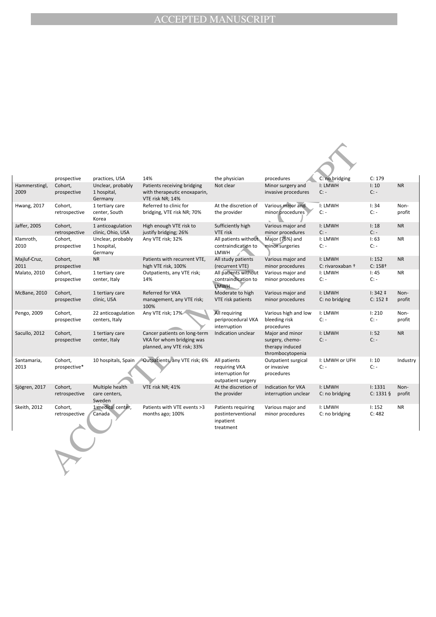|                       | prospective              | practices, USA                              | 14%                                                                                     | the physician                                                           | procedures                                                                | C: no bridging              | C: 179                        |                |
|-----------------------|--------------------------|---------------------------------------------|-----------------------------------------------------------------------------------------|-------------------------------------------------------------------------|---------------------------------------------------------------------------|-----------------------------|-------------------------------|----------------|
| Hammerstingl,<br>2009 | Cohort,<br>prospective   | Unclear, probably<br>1 hospital,<br>Germany | Patients receiving bridging<br>with therapeutic enoxaparin,<br>VTE risk NR; 14%         | Not clear                                                               | Minor surgery and<br>invasive procedures                                  | I: LMWH<br>$C: -$           | I:10<br>$C: -$                | <b>NR</b>      |
| <b>Hwang, 2017</b>    | Cohort,<br>retrospective | 1 tertiary care<br>center, South<br>Korea   | Referred to clinic for<br>bridging, VTE risk NR; 70%                                    | At the discretion of<br>the provider                                    | Various major and<br>minor procedures                                     | I: LMWH<br>$C: -$           | 1:34<br>$C: -$                | Non-<br>profit |
| Jaffer, 2005          | Cohort,<br>retrospective | 1 anticoagulation<br>clinic, Ohio, USA      | High enough VTE risk to<br>justify bridging; 26%                                        | Sufficiently high<br>VTE risk                                           | Various major and<br>minor procedures                                     | I: LMWH<br>$C: -$           | I: 18<br>$C: -$               | <b>NR</b>      |
| Klamroth,<br>2010     | Cohort,<br>prospective   | Unclear, probably<br>1 hospital,<br>Germany | Any VTE risk; 32%                                                                       | All patients without<br>contraindication to<br>LMWH                     | Major (75%) and<br>minor surgeries                                        | I: LMWH<br>$C: -$           | I:63<br>$C: -$                | <b>NR</b>      |
| Majluf-Cruz,<br>2011  | Cohort.<br>prospective   | <b>NR</b>                                   | Patients with recurrent VTE,<br>high VTE risk, 100%                                     | All study patients<br>(recurrent VTE)                                   | Various major and<br>minor procedures                                     | I: LMWH<br>C: rivaroxaban + | 1:152<br>$C: 158+$            | <b>NR</b>      |
| Malato, 2010          | Cohort,<br>prospective   | 1 tertiary care<br>center, Italy            | Outpatients, any VTE risk;<br>14%                                                       | All patients without<br>contraindication to<br><b>LMWH</b>              | Various major and<br>minor procedures                                     | I: LMWH<br>$C: -$           | I:45<br>$C: -$                | <b>NR</b>      |
| <b>McBane, 2010</b>   | Cohort,<br>prospective   | 1 tertiary care<br>clinic, USA              | Referred for VKA<br>management, any VTE risk;<br>100%                                   | Moderate to high<br>VTE risk patients                                   | Various major and<br>minor procedures                                     | I: LMWH<br>C: no bridging   | $1: 342 \pm$<br>$C: 152 \;$ ‡ | Non-<br>profit |
| Pengo, 2009           | Cohort,<br>prospective   | 22 anticoagulation<br>centers, Italy        | Any VTE risk; 17%/                                                                      | All requiring<br>periprocedural VKA<br>interruption                     | Various high and low<br>bleeding risk<br>procedures                       | I: LMWH<br>$C: -$           | I: 210<br>$C: -$              | Non-<br>profit |
| Sacullo, 2012         | Cohort,<br>prospective   | 1 tertiary care<br>center, Italy            | Cancer patients on long-term<br>VKA for whom bridging was<br>planned, any VTE risk; 33% | Indication unclear                                                      | Major and minor<br>surgery, chemo-<br>therapy induced<br>thrombocytopenia | I: LMWH<br>$C: -$           | I:52<br>$C: -$                | <b>NR</b>      |
| Santamaria,<br>2013   | Cohort,<br>prospective*  | 10 hospitals, Spain                         | Outpatients, any VTE risk; 6%                                                           | All patients<br>requiring VKA<br>interruption for<br>outpatient surgery | Outpatient surgical<br>or invasive<br>procedures                          | I: LMWH or UFH<br>$C: -$    | I: 10<br>$C: -$               | Industry       |
| Sjögren, 2017         | Cohort,<br>retrospective | Multiple health<br>care centers,<br>Sweden  | VTE risk NR; 41%                                                                        | At the discretion of<br>the provider                                    | <b>Indication for VKA</b><br>interruption unclear                         | I: LMWH<br>C: no bridging   | I: 1331<br>$C: 1331 \$        | Non-<br>profit |
| Skeith, 2012          | Cohort,<br>retrospective | 1 medical center,<br>Canada                 | Patients with VTE events >3<br>months ago; 100%                                         | Patients requiring<br>postinterventional<br>inpatient<br>treatment      | Various major and<br>minor procedures                                     | I: LMWH<br>C: no bridging   | 1:152<br>C: 482               | <b>NR</b>      |
|                       |                          |                                             |                                                                                         |                                                                         |                                                                           |                             |                               |                |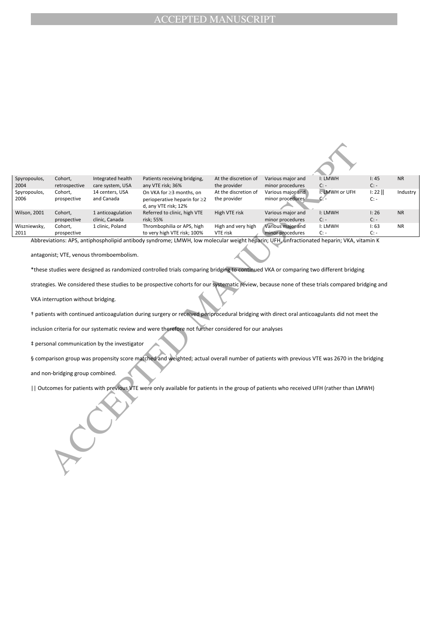| Spyropoulos,         | Cohort,                            | Integrated health                            | Patients receiving bridging,                                                                                                                    | At the discretion of                 | Various major and                     | I: LMWH                  | I:45            | <b>NR</b> |
|----------------------|------------------------------------|----------------------------------------------|-------------------------------------------------------------------------------------------------------------------------------------------------|--------------------------------------|---------------------------------------|--------------------------|-----------------|-----------|
| 2004<br>Spyropoulos, | retrospective<br>Cohort,           | care system, USA<br>14 centers, USA          | any VTE risk; 36%<br>On VKA for ≥3 months, on                                                                                                   | the provider<br>At the discretion of | minor procedures<br>Various major and | $C: -$<br>I: LMWH or UFH | $C: -$<br>I: 22 | Industry  |
| 2006                 | prospective                        | and Canada                                   | perioperative heparin for ≥2<br>d, any VTE risk; 12%                                                                                            | the provider                         | minor procedures                      | c⁄-                      | $C: -$          |           |
| <b>Wilson, 2001</b>  | Cohort,                            | 1 anticoagulation                            | Referred to clinic, high VTE                                                                                                                    | High VTE risk                        | Various major and                     | I: LMWH                  | I:26            | <b>NR</b> |
| Wiszniewsky,         | prospective<br>Cohort,             | clinic, Canada                               | risk; 55%<br>Thrombophilia or APS, high                                                                                                         | High and very high                   | minor procedures<br>Various major and | $C: -$<br>I: LMWH        | $C: -$<br>I:63  | <b>NR</b> |
| 2011                 | prospective                        | 1 clinic, Poland                             | to very high VTE risk; 100%                                                                                                                     | VTE risk                             | minor procedures                      | $C: -$                   | $C: -$          |           |
|                      |                                    |                                              | Abbreviations: APS, antiphospholipid antibody syndrome; LMWH, low molecular weight heparin; UFH, unfractionated heparin; VKA, vitamin K         |                                      |                                       |                          |                 |           |
|                      |                                    |                                              |                                                                                                                                                 |                                      |                                       |                          |                 |           |
|                      |                                    | antagonist; VTE, venous thromboembolism.     |                                                                                                                                                 |                                      |                                       |                          |                 |           |
|                      |                                    |                                              | *these studies were designed as randomized controlled trials comparing bridging to continued VKA or comparing two different bridging            |                                      |                                       |                          |                 |           |
|                      |                                    |                                              | strategies. We considered these studies to be prospective cohorts for our systematic review, because none of these trials compared bridging and |                                      |                                       |                          |                 |           |
|                      | VKA interruption without bridging. |                                              |                                                                                                                                                 |                                      |                                       |                          |                 |           |
|                      |                                    |                                              | t patients with continued anticoagulation during surgery or received periprocedural bridging with direct oral anticoagulants did not meet the   |                                      |                                       |                          |                 |           |
|                      |                                    |                                              | inclusion criteria for our systematic review and were therefore not further considered for our analyses                                         |                                      |                                       |                          |                 |           |
|                      |                                    | ‡ personal communication by the investigator |                                                                                                                                                 |                                      |                                       |                          |                 |           |
|                      |                                    |                                              | § comparison group was propensity score matched and weighted; actual overall number of patients with previous VTE was 2670 in the bridging      |                                      |                                       |                          |                 |           |
|                      | and non-bridging group combined.   |                                              |                                                                                                                                                 |                                      |                                       |                          |                 |           |
|                      |                                    |                                              | Outcomes for patients with previous VTE were only available for patients in the group of patients who received UFH (rather than LMWH)           |                                      |                                       |                          |                 |           |
|                      |                                    |                                              |                                                                                                                                                 |                                      |                                       |                          |                 |           |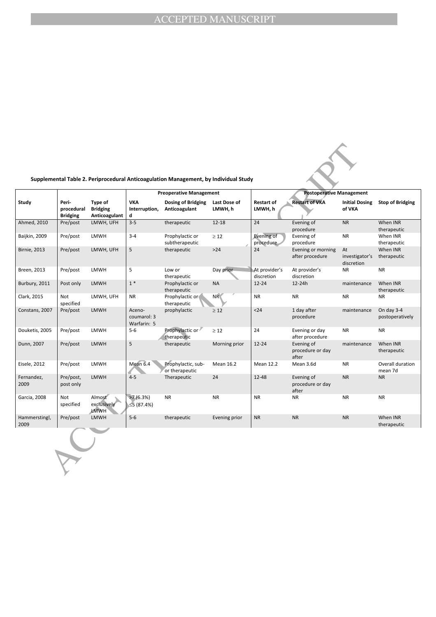| Supplemental Table 2. Periprocedural Anticoagulation Management, by Individual Study |  |  |  |  |
|--------------------------------------------------------------------------------------|--|--|--|--|
|--------------------------------------------------------------------------------------|--|--|--|--|

|                       |                                        |                                             |                                      | Supplemental Table 2. Periprocedural Anticoagulation Management, by Individual Study |                         |                              |                                         |                                    |                               |
|-----------------------|----------------------------------------|---------------------------------------------|--------------------------------------|--------------------------------------------------------------------------------------|-------------------------|------------------------------|-----------------------------------------|------------------------------------|-------------------------------|
|                       |                                        |                                             |                                      | <b>Preoperative Management</b>                                                       |                         |                              | <b>Postoperative Management</b>         |                                    |                               |
| Study                 | Peri-<br>procedural<br><b>Bridging</b> | Type of<br><b>Bridging</b><br>Anticoagulant | <b>VKA</b><br>Interruption,<br>d     | Dosing of Bridging<br>Anticoagulant                                                  | Last Dose of<br>LMWH, h | <b>Restart of</b><br>LMWH, h | <b>Restart of VKA</b>                   | <b>Initial Dosing</b><br>of VKA    | <b>Stop of Bridging</b>       |
| Ahmed, 2010           | Pre/post                               | LMWH, UFH                                   | $3 - 5$                              | therapeutic                                                                          | $12 - 18$               | 24                           | Evening of<br>procedure                 | <b>NR</b>                          | When INR<br>therapeutic       |
| Baijkin, 2009         | Pre/post                               | <b>LMWH</b>                                 | $3 - 4$                              | Prophylactic or<br>subtherapeutic                                                    | $\geq 12$               | Evening of<br>procedure      | Evening of<br>procedure                 | <b>NR</b>                          | When INR<br>therapeutic       |
| <b>Birnie, 2013</b>   | Pre/post                               | LMWH, UFH                                   | 5                                    | therapeutic                                                                          | $>24$                   | 24                           | Evening or morning<br>after procedure   | At<br>investigator's<br>discretion | When INR<br>therapeutic       |
| Breen, 2013           | Pre/post                               | <b>LMWH</b>                                 | 5                                    | Low or<br>therapeutic                                                                | Day prior               | At provider's<br>discretion  | At provider's<br>discretion             | <b>NR</b>                          | <b>NR</b>                     |
| Burbury, 2011         | Post only                              | <b>LMWH</b>                                 | $1*$                                 | Prophylactic or<br>therapeutic                                                       | <b>NA</b>               | $12 - 24$                    | 12-24h                                  | maintenance                        | When INR<br>therapeutic       |
| Clark, 2015           | <b>Not</b><br>specified                | LMWH, UFH                                   | <b>NR</b>                            | Prophylactic or<br>therapeutic                                                       | <b>NR</b>               | <b>NR</b>                    | <b>NR</b>                               | <b>NR</b>                          | <b>NR</b>                     |
| Constans, 2007        | Pre/post                               | <b>LMWH</b>                                 | Aceno-<br>coumarol: 3<br>Warfarin: 5 | prophylactic                                                                         | $\geq 12$               | $24$                         | 1 day after<br>procedure                | maintenance                        | On day 3-4<br>postoperatively |
| Douketis, 2005        | Pre/post                               | <b>LMWH</b>                                 | $5-6$                                | Prophylactic or<br>therapeutic                                                       | $\geq 12$               | 24                           | Evening or day<br>after procedure       | <b>NR</b>                          | <b>NR</b>                     |
| Dunn, 2007            | Pre/post                               | <b>LMWH</b>                                 | 5                                    | therapeutic                                                                          | Morning prior           | $12 - 24$                    | Evening of<br>procedure or day<br>after | maintenance                        | When INR<br>therapeutic       |
| Eisele, 2012          | Pre/post                               | LMWH                                        | Mean 6.4                             | Prophylactic, sub-<br>or therapeutic                                                 | <b>Mean 16.2</b>        | <b>Mean 12.2</b>             | Mean 3.6d                               | <b>NR</b>                          | Overall duration<br>mean 7d   |
| Fernandez,<br>2009    | Pre/post,<br>post only                 | <b>LMWH</b>                                 | $4 - 5$                              | Therapeutic                                                                          | 24                      | $12 - 48$                    | Evening of<br>procedure or day<br>after | <b>NR</b>                          | <b>NR</b>                     |
| Garcia, 2008          | Not<br>specified                       | Almost<br>exclusively<br><b>LMWH</b>        | >7(6.3%)<br>$\leq$ 5 (87.4%)         | <b>NR</b>                                                                            | <b>NR</b>               | <b>NR</b>                    | <b>NR</b>                               | <b>NR</b>                          | <b>NR</b>                     |
| Hammerstingl,<br>2009 | Pre/post                               | <b>LMWH</b>                                 | $5-6$                                | therapeutic                                                                          | Evening prior           | <b>NR</b>                    | <b>NR</b>                               | <b>NR</b>                          | When INR<br>therapeutic       |
|                       |                                        |                                             |                                      |                                                                                      |                         |                              |                                         |                                    |                               |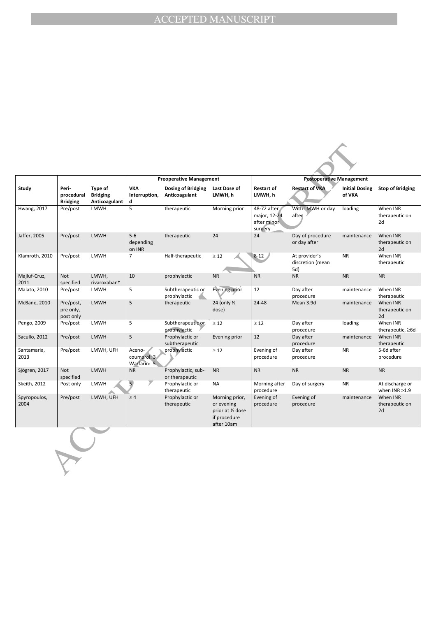|                      |                                        |                                             |                                      | <b>Preoperative Management</b>       |                                                                                 |                                                       | <b>Postoperative Management</b>          |                                 |                                     |
|----------------------|----------------------------------------|---------------------------------------------|--------------------------------------|--------------------------------------|---------------------------------------------------------------------------------|-------------------------------------------------------|------------------------------------------|---------------------------------|-------------------------------------|
| Study                | Peri-<br>procedural<br><b>Bridging</b> | Type of<br><b>Bridging</b><br>Anticoagulant | <b>VKA</b><br>Interruption,<br>d     | Dosing of Bridging<br>Anticoagulant  | Last Dose of<br>LMWH, h                                                         | <b>Restart of</b><br>LMWH, h                          | <b>Restart of VKA</b>                    | <b>Initial Dosing</b><br>of VKA | <b>Stop of Bridging</b>             |
| <b>Hwang, 2017</b>   | Pre/post                               | <b>LMWH</b>                                 | 5                                    | therapeutic                          | Morning prior                                                                   | 48-72 after<br>major, 12-24<br>after minor<br>surgery | With LMWH or day<br>aften                | loading                         | When INR<br>therapeutic on<br>2d    |
| Jaffer, 2005         | Pre/post                               | <b>LMWH</b>                                 | $5-6$<br>depending<br>on INR         | therapeutic                          | 24                                                                              | 24                                                    | Day of procedure<br>or day after         | maintenance                     | When INR<br>therapeutic on<br>2d    |
| Klamroth, 2010       | Pre/post                               | <b>LMWH</b>                                 | $\overline{7}$                       | Half-therapeutic                     | $\geq$ 12                                                                       | $8 - 12$                                              | At provider's<br>discretion (mean<br>5d) | <b>NR</b>                       | When INR<br>therapeutic             |
| Majluf-Cruz,<br>2011 | <b>Not</b><br>specified                | LMWH,<br>rivaroxaban <sup>+</sup>           | 10                                   | prophylactic                         | <b>NR</b>                                                                       | <b>NR</b>                                             | <b>NR</b>                                | <b>NR</b>                       | <b>NR</b>                           |
| Malato, 2010         | Pre/post                               | LMWH                                        | 5                                    | Subtherapeutic or<br>prophylactic    | Evening prior                                                                   | 12                                                    | Day after<br>procedure                   | maintenance                     | When INR<br>therapeutic             |
| <b>McBane, 2010</b>  | Pre/post,<br>pre only,<br>post only    | <b>LMWH</b>                                 | 5                                    | therapeutic                          | 24 (only 1/2<br>dose)                                                           | 24-48                                                 | Mean 3.9d                                | maintenance                     | When INR<br>therapeutic on<br>2d    |
| Pengo, 2009          | Pre/post                               | <b>LMWH</b>                                 | 5                                    | Subtherapeutic or<br>prophylactic    | $\geq$ 12                                                                       | $\geq 12$                                             | Day after<br>procedure                   | loading                         | When INR<br>therapeutic, ≥6d        |
| Sacullo, 2012        | Pre/post                               | <b>LMWH</b>                                 | 5                                    | Prophylactic or<br>subtherapeutic    | Evening prior                                                                   | 12                                                    | Day after<br>procedure                   | maintenance                     | When INR<br>therapeutic             |
| Santamaria,<br>2013  | Pre/post                               | LMWH, UFH                                   | Aceno-<br>coumarol: 3<br>Warfarin: 5 | prophylactic                         | $\geq 12$                                                                       | Evening of<br>procedure                               | Day after<br>procedure                   | <b>NR</b>                       | 5-6d after<br>procedure             |
| Sjögren, 2017        | <b>Not</b><br>specified                | <b>LMWH</b>                                 | <b>NR</b>                            | Prophylactic, sub-<br>or therapeutic | <b>NR</b>                                                                       | <b>NR</b>                                             | <b>NR</b>                                | <b>NR</b>                       | <b>NR</b>                           |
| Skeith, 2012         | Post only                              | LMWH                                        | $\overline{5}$<br>Σ                  | Prophylactic or<br>therapeutic       | NA                                                                              | Morning after<br>procedure                            | Day of surgery                           | <b>NR</b>                       | At discharge or<br>when $INR > 1.9$ |
| Spyropoulos,<br>2004 | Pre/post                               | LMWH, UFH                                   | $\geq 4$                             | Prophylactic or<br>therapeutic       | Morning prior,<br>or evening<br>prior at 1/2 dose<br>if procedure<br>after 10am | Evening of<br>procedure                               | Evening of<br>procedure                  | maintenance                     | When INR<br>therapeutic on<br>2d    |
|                      |                                        |                                             |                                      |                                      |                                                                                 |                                                       |                                          |                                 |                                     |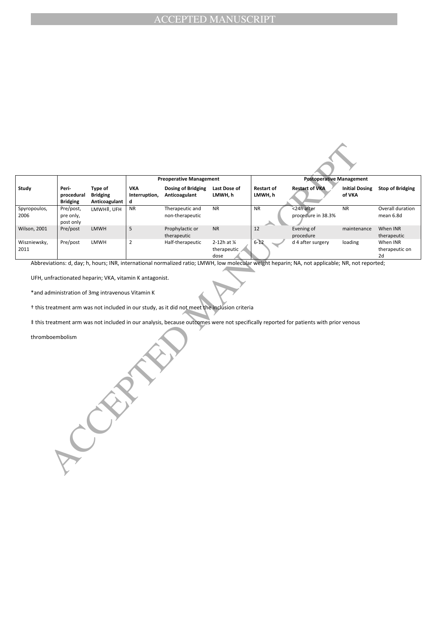|                      |                                        |                                             |                                  | <b>Preoperative Management</b>      |                                               | <b>Postoperative Management</b> |                                  |                                 |                                  |
|----------------------|----------------------------------------|---------------------------------------------|----------------------------------|-------------------------------------|-----------------------------------------------|---------------------------------|----------------------------------|---------------------------------|----------------------------------|
| Study                | Peri-<br>procedural<br><b>Bridging</b> | Type of<br><b>Bridging</b><br>Anticoagulant | <b>VKA</b><br>Interruption,<br>d | Dosing of Bridging<br>Anticoagulant | Last Dose of<br>LMWH. h                       | <b>Restart of</b><br>LMWH, h    | <b>Restart of VKA</b>            | <b>Initial Dosing</b><br>of VKA | <b>Stop of Bridging</b>          |
| Spyropoulos,<br>2006 | Pre/post,<br>pre only,<br>post only    | LMWH‡. UFH                                  | <b>NR</b>                        | Therapeutic and<br>non-therapeutic  | <b>NR</b>                                     | <b>NR</b>                       | <24h after<br>procedure in 38.3% | <b>NR</b>                       | Overall duration<br>mean 6.8d    |
| <b>Wilson, 2001</b>  | Pre/post                               | <b>LMWH</b>                                 |                                  | Prophylactic or<br>therapeutic      | <b>NR</b>                                     | 12                              | Evening of<br>procedure          | maintenance                     | When INR<br>therapeutic          |
| Wiszniewsky,<br>2011 | Pre/post                               | <b>LMWH</b>                                 | $\overline{2}$                   | Half-therapeutic                    | 2-12h at $\frac{1}{4}$<br>therapeutic<br>dose | $6 - 12$                        | d 4 after surgery                | loading                         | When INR<br>therapeutic on<br>2d |

Abbreviations: d, day; h, hours; INR, international normalized ratio; LMWH, low molecular weight heparin; NA, not applicable; NR, not reported;

UFH, unfractionated heparin; VKA, vitamin K antagonist.

CCEPTED MANUSCRIPT

\*and administration of 3mg intravenous Vitamin K

† this treatment arm was not included in our study, as it did not meet the inclusion criteria

‡ this treatment arm was not included in our analysis, because outcomes were not specifically reported for patients with prior venous

thromboembolism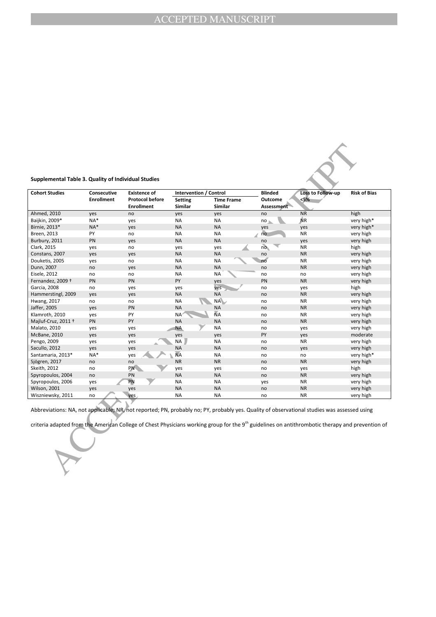

| Consecutive<br><b>Existence of</b><br><b>Protocol before</b><br><b>Enrollment</b><br><b>Enrollment</b><br>no<br>NA*<br>yes<br>NA*<br>yes<br>no<br>yes | Intervention / Control<br><b>Setting</b><br><b>Similar</b><br>yes<br>NA<br><b>NA</b> | <b>Time Frame</b><br><b>Similar</b><br>yes<br>NA<br><b>NA</b> | <b>Blinded</b><br>Outcome<br>Assessment<br>no<br>no | Loss to Follow-up<br>< 5%<br><b>NR</b><br><b>NR</b> | <b>Risk of Bias</b><br>high |
|-------------------------------------------------------------------------------------------------------------------------------------------------------|--------------------------------------------------------------------------------------|---------------------------------------------------------------|-----------------------------------------------------|-----------------------------------------------------|-----------------------------|
|                                                                                                                                                       |                                                                                      |                                                               |                                                     |                                                     |                             |
|                                                                                                                                                       |                                                                                      |                                                               |                                                     |                                                     |                             |
|                                                                                                                                                       |                                                                                      |                                                               |                                                     |                                                     | very high*                  |
|                                                                                                                                                       |                                                                                      |                                                               | yes                                                 | yes                                                 | very high*                  |
|                                                                                                                                                       | <b>NA</b>                                                                            | NA                                                            | no                                                  | <b>NR</b>                                           | very high                   |
|                                                                                                                                                       | <b>NA</b>                                                                            | <b>NA</b>                                                     | no                                                  | yes                                                 | very high                   |
| no                                                                                                                                                    | yes                                                                                  | yes                                                           | $n\sigma$                                           | <b>NR</b>                                           | high                        |
| yes                                                                                                                                                   | <b>NA</b>                                                                            | <b>NA</b>                                                     | no                                                  | <b>NR</b>                                           | very high                   |
| no                                                                                                                                                    | <b>NA</b>                                                                            | NA                                                            | no                                                  | <b>NR</b>                                           | very high                   |
| yes                                                                                                                                                   | <b>NA</b>                                                                            | <b>NA</b>                                                     | no                                                  | <b>NR</b>                                           | very high                   |
| no                                                                                                                                                    | <b>NA</b>                                                                            | NA                                                            | no                                                  | no                                                  | very high                   |
| PN                                                                                                                                                    | PY                                                                                   | yes                                                           | PN                                                  | <b>NR</b>                                           | very high                   |
|                                                                                                                                                       |                                                                                      |                                                               | no                                                  |                                                     | high                        |
| yes                                                                                                                                                   | <b>NA</b>                                                                            | <b>NA</b>                                                     | no                                                  | <b>NR</b>                                           | very high                   |
| no                                                                                                                                                    | <b>NA</b>                                                                            | NA                                                            | no                                                  | <b>NR</b>                                           | very high                   |
| PN                                                                                                                                                    | <b>NA</b>                                                                            | <b>NA</b>                                                     | no                                                  | <b>NR</b>                                           | very high                   |
| PY                                                                                                                                                    | ΝA                                                                                   | ÑА                                                            | no                                                  | <b>NR</b>                                           | very high                   |
| PY                                                                                                                                                    | <b>NA</b>                                                                            | <b>NA</b>                                                     | no                                                  | <b>NR</b>                                           | very high                   |
| yes                                                                                                                                                   | <b>NA</b>                                                                            | NA                                                            | no                                                  | yes                                                 | very high                   |
|                                                                                                                                                       |                                                                                      |                                                               | PY                                                  |                                                     | moderate                    |
|                                                                                                                                                       | NA                                                                                   | NA                                                            | no                                                  | <b>NR</b>                                           | very high                   |
| yes                                                                                                                                                   | <b>NA</b>                                                                            | <b>NA</b>                                                     | no                                                  | yes                                                 | very high                   |
| $NA*$                                                                                                                                                 | <b>NA</b>                                                                            | <b>NA</b>                                                     | no                                                  | no                                                  | very high*                  |
| no                                                                                                                                                    | <b>NR</b>                                                                            | <b>NR</b>                                                     | no                                                  | <b>NR</b>                                           | very high                   |
| PN <b>N</b>                                                                                                                                           | yes                                                                                  | yes                                                           | no                                                  | yes                                                 | high                        |
| PN                                                                                                                                                    | <b>NA</b>                                                                            | <b>NA</b>                                                     | no                                                  | <b>NR</b>                                           | very high                   |
| <b>PN</b>                                                                                                                                             | <b>NA</b>                                                                            | <b>NA</b>                                                     |                                                     | <b>NR</b>                                           | very high                   |
|                                                                                                                                                       | <b>NA</b>                                                                            | <b>NA</b>                                                     | no                                                  | <b>NR</b>                                           | very high                   |
|                                                                                                                                                       | <b>NA</b>                                                                            | NA                                                            | no                                                  | <b>NR</b>                                           | very high                   |
|                                                                                                                                                       | yes<br>yes<br>yes<br>yes<br>yes<br>yes                                               | yes<br>yes                                                    | yes<br>yes                                          | yes                                                 | yes<br>yes                  |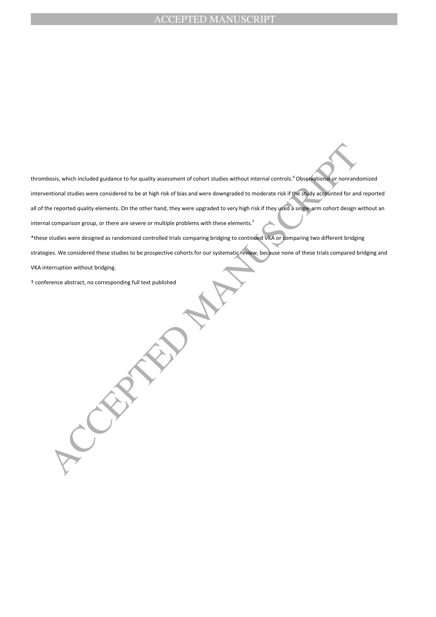thrombosis, which included guidance to for quality assessment of cohort studies without internal controls.<sup>4</sup> Observational or nonrandomized interventional studies were considered to be at high risk of bias and were downgraded to moderate risk if the study accounted for and reported all of the reported quality elements. On the other hand, they were upgraded to very high risk if they used a single-arm cohort design without an internal comparison group, or there are severe or multiple problems with these elements.<sup>5</sup>

\*these studies were designed as randomized controlled trials comparing bridging to continued VKA or comparing two different bridging

strategies. We considered these studies to be prospective cohorts for our systematic review, because none of these trials compared bridging and

VKA interruption without bridging.

† conference abstract, no corresponding full text published

bosis, which included guidance to for quality assessment of cohort studies without internal controls." Observational corronation<br>animous studies were considered to be at high risk of bias and were deverageded to moderate r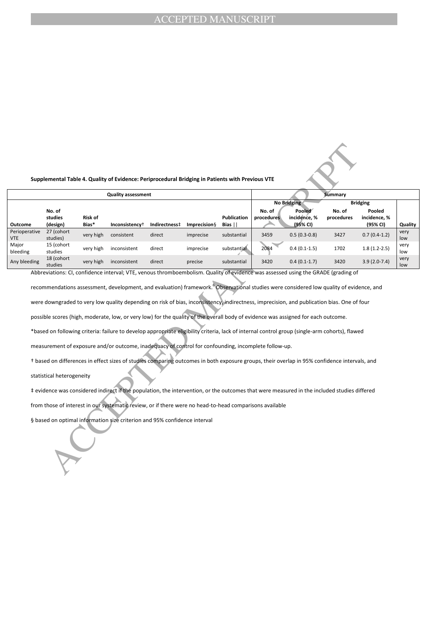#### **Supplemental Table 4. Quality of Evidence: Periprocedural Bridging in Patients with Previous VTE**

|                                                                                                                                                                                                                                                                                                                                                                                                                                                                                                                                                                                                                                                                                                                                                                                                                                                                                                                                                                                                                                                                                                                                                                                                                      |                               |                  | Supplemental Table 4. Quality of Evidence: Periprocedural Bridging in Patients with Previous VTE |               |                      |                            |                      |                                                                 |                      |                                                       |             |
|----------------------------------------------------------------------------------------------------------------------------------------------------------------------------------------------------------------------------------------------------------------------------------------------------------------------------------------------------------------------------------------------------------------------------------------------------------------------------------------------------------------------------------------------------------------------------------------------------------------------------------------------------------------------------------------------------------------------------------------------------------------------------------------------------------------------------------------------------------------------------------------------------------------------------------------------------------------------------------------------------------------------------------------------------------------------------------------------------------------------------------------------------------------------------------------------------------------------|-------------------------------|------------------|--------------------------------------------------------------------------------------------------|---------------|----------------------|----------------------------|----------------------|-----------------------------------------------------------------|----------------------|-------------------------------------------------------|-------------|
| <b>Quality assessment</b>                                                                                                                                                                                                                                                                                                                                                                                                                                                                                                                                                                                                                                                                                                                                                                                                                                                                                                                                                                                                                                                                                                                                                                                            |                               |                  |                                                                                                  |               |                      |                            | <b>Summary</b>       |                                                                 |                      |                                                       |             |
| Outcome                                                                                                                                                                                                                                                                                                                                                                                                                                                                                                                                                                                                                                                                                                                                                                                                                                                                                                                                                                                                                                                                                                                                                                                                              | No. of<br>studies<br>(design) | Risk of<br>Bias* | Inconsistency <sup>+</sup>                                                                       | Indirectness‡ | <b>Imprecision</b> § | <b>Publication</b><br>Bias | No. of<br>procedures | <b>No Bridging</b><br><b>Pooled</b><br>incidence, %<br>(95% CI) | No. of<br>procedures | <b>Bridging</b><br>Pooled<br>incidence, %<br>(95% CI) | Quality     |
| Perioperative<br><b>VTE</b>                                                                                                                                                                                                                                                                                                                                                                                                                                                                                                                                                                                                                                                                                                                                                                                                                                                                                                                                                                                                                                                                                                                                                                                          | 27 (cohort<br>studies)        | very high        | consistent                                                                                       | direct        | imprecise            | substantial                | 3459                 | $0.5(0.3-0.8)$                                                  | 3427                 | $0.7(0.4-1.2)$                                        | very<br>low |
| Major<br>bleeding                                                                                                                                                                                                                                                                                                                                                                                                                                                                                                                                                                                                                                                                                                                                                                                                                                                                                                                                                                                                                                                                                                                                                                                                    | 15 (cohort<br>studies         | very high        | inconsistent                                                                                     | direct        | imprecise            | substantial                | 2084                 | $0.4(0.1-1.5)$                                                  | 1702                 | $1.8(1.2-2.5)$                                        | very<br>low |
| Any bleeding                                                                                                                                                                                                                                                                                                                                                                                                                                                                                                                                                                                                                                                                                                                                                                                                                                                                                                                                                                                                                                                                                                                                                                                                         | 18 (cohort<br>studies         | very high        | inconsistent                                                                                     | direct        | precise              | substantial                | 3420                 | $0.4(0.1-1.7)$                                                  | 3420                 | $3.9(2.0-7.4)$                                        | very<br>low |
| recommendations assessment, development, and evaluation) framework. <sup>6</sup> Observational studies were considered low quality of evidence, and<br>were downgraded to very low quality depending on risk of bias, inconsistency, indirectness, imprecision, and publication bias. One of four<br>possible scores (high, moderate, low, or very low) for the quality of the overall body of evidence was assigned for each outcome.<br>*based on following criteria: failure to develop appropriate eligibility criteria, lack of internal control group (single-arm cohorts), flawed<br>measurement of exposure and/or outcome, inadequacy of control for confounding, incomplete follow-up.<br>t based on differences in effect sizes of studies comparing outcomes in both exposure groups, their overlap in 95% confidence intervals, and<br>statistical heterogeneity<br>‡ evidence was considered indirect if the population, the intervention, or the outcomes that were measured in the included studies differed<br>from those of interest in our systematic review, or if there were no head-to-head comparisons available<br>§ based on optimal information size criterion and 95% confidence interval |                               |                  |                                                                                                  |               |                      |                            |                      |                                                                 |                      |                                                       |             |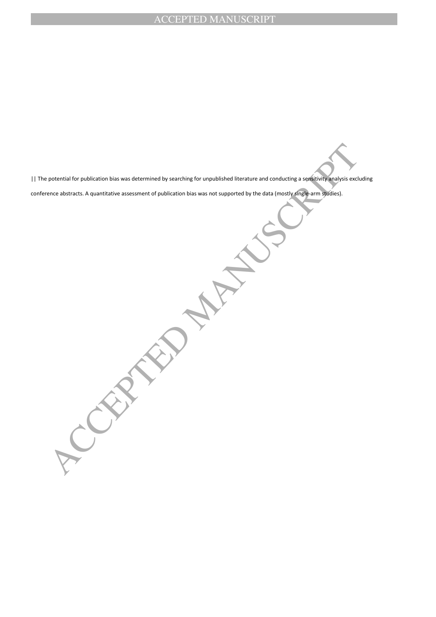|| The potential for publication bias was determined by searching for unpublished literature and conducting a sensitivity analysis excluding conference abstracts. A quantitative assessment of publication bias was not supported by the data (mostly single-arm studies).

**CEPTED MANUSCRIPTION**